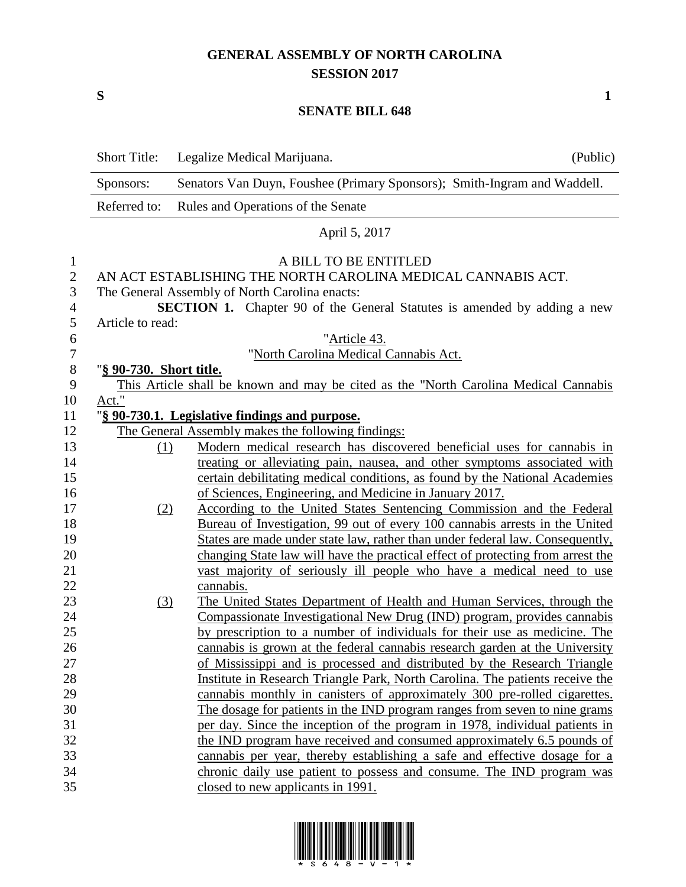## **GENERAL ASSEMBLY OF NORTH CAROLINA SESSION 2017**

**S 1**

## **SENATE BILL 648**

|                     | <b>Short Title:</b>     | Legalize Medical Marijuana.                                                                                                       | (Public) |
|---------------------|-------------------------|-----------------------------------------------------------------------------------------------------------------------------------|----------|
|                     | Sponsors:               | Senators Van Duyn, Foushee (Primary Sponsors); Smith-Ingram and Waddell.                                                          |          |
|                     | Referred to:            | Rules and Operations of the Senate                                                                                                |          |
|                     |                         | April 5, 2017                                                                                                                     |          |
| $\mathbf{1}$        |                         | A BILL TO BE ENTITLED<br>AN ACT ESTABLISHING THE NORTH CAROLINA MEDICAL CANNABIS ACT.                                             |          |
| $\mathbf{2}$        |                         |                                                                                                                                   |          |
| 3<br>$\overline{4}$ |                         | The General Assembly of North Carolina enacts:<br><b>SECTION 1.</b> Chapter 90 of the General Statutes is amended by adding a new |          |
| $\mathfrak{S}$      | Article to read:        |                                                                                                                                   |          |
| 6                   |                         | "Article 43.                                                                                                                      |          |
| $\boldsymbol{7}$    |                         | "North Carolina Medical Cannabis Act.                                                                                             |          |
| $\,8\,$             | "§ 90-730. Short title. |                                                                                                                                   |          |
| 9                   |                         | This Article shall be known and may be cited as the "North Carolina Medical Cannabis"                                             |          |
| 10                  | Act."                   |                                                                                                                                   |          |
| 11                  |                         | "§ 90-730.1. Legislative findings and purpose.                                                                                    |          |
| 12                  |                         | The General Assembly makes the following findings:                                                                                |          |
| 13                  | (1)                     | Modern medical research has discovered beneficial uses for cannabis in                                                            |          |
| 14                  |                         | treating or alleviating pain, nausea, and other symptoms associated with                                                          |          |
| 15                  |                         | certain debilitating medical conditions, as found by the National Academies                                                       |          |
| 16                  |                         | of Sciences, Engineering, and Medicine in January 2017.                                                                           |          |
| 17                  | (2)                     | According to the United States Sentencing Commission and the Federal                                                              |          |
| 18                  |                         | Bureau of Investigation, 99 out of every 100 cannabis arrests in the United                                                       |          |
| 19                  |                         | States are made under state law, rather than under federal law. Consequently,                                                     |          |
| 20                  |                         | changing State law will have the practical effect of protecting from arrest the                                                   |          |
| 21                  |                         | vast majority of seriously ill people who have a medical need to use                                                              |          |
| 22                  |                         | cannabis.                                                                                                                         |          |
| 23                  | (3)                     | The United States Department of Health and Human Services, through the                                                            |          |
| 24                  |                         | Compassionate Investigational New Drug (IND) program, provides cannabis                                                           |          |
| 25                  |                         | by prescription to a number of individuals for their use as medicine. The                                                         |          |
| $26\,$              |                         | cannabis is grown at the federal cannabis research garden at the University                                                       |          |
| 27                  |                         | of Mississippi and is processed and distributed by the Research Triangle                                                          |          |
| 28                  |                         | Institute in Research Triangle Park, North Carolina. The patients receive the                                                     |          |
| 29                  |                         | cannabis monthly in canisters of approximately 300 pre-rolled cigarettes.                                                         |          |
| 30                  |                         | The dosage for patients in the IND program ranges from seven to nine grams                                                        |          |
| 31                  |                         | per day. Since the inception of the program in 1978, individual patients in                                                       |          |
| 32                  |                         | the IND program have received and consumed approximately 6.5 pounds of                                                            |          |
| 33                  |                         | cannabis per year, thereby establishing a safe and effective dosage for a                                                         |          |
| 34                  |                         | chronic daily use patient to possess and consume. The IND program was                                                             |          |
| 35                  |                         | closed to new applicants in 1991.                                                                                                 |          |

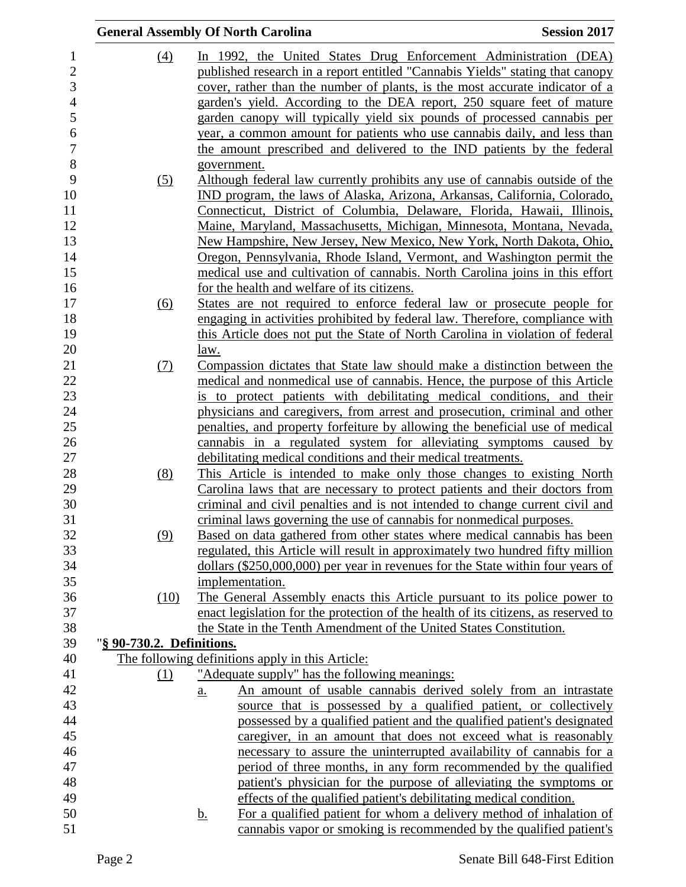|                           | <b>General Assembly Of North Carolina</b>                                                                                                                 | <b>Session 2017</b> |
|---------------------------|-----------------------------------------------------------------------------------------------------------------------------------------------------------|---------------------|
| $\left(4\right)$          | In 1992, the United States Drug Enforcement Administration (DEA)                                                                                          |                     |
|                           | published research in a report entitled "Cannabis Yields" stating that canopy                                                                             |                     |
|                           | cover, rather than the number of plants, is the most accurate indicator of a                                                                              |                     |
|                           | garden's yield. According to the DEA report, 250 square feet of mature                                                                                    |                     |
|                           | garden canopy will typically yield six pounds of processed cannabis per                                                                                   |                     |
|                           | year, a common amount for patients who use cannabis daily, and less than                                                                                  |                     |
|                           | the amount prescribed and delivered to the IND patients by the federal                                                                                    |                     |
|                           | government.                                                                                                                                               |                     |
| <u>(5)</u>                | Although federal law currently prohibits any use of cannabis outside of the                                                                               |                     |
|                           | IND program, the laws of Alaska, Arizona, Arkansas, California, Colorado,                                                                                 |                     |
|                           | Connecticut, District of Columbia, Delaware, Florida, Hawaii, Illinois,                                                                                   |                     |
|                           | Maine, Maryland, Massachusetts, Michigan, Minnesota, Montana, Nevada,                                                                                     |                     |
|                           | New Hampshire, New Jersey, New Mexico, New York, North Dakota, Ohio,                                                                                      |                     |
|                           | Oregon, Pennsylvania, Rhode Island, Vermont, and Washington permit the                                                                                    |                     |
|                           | medical use and cultivation of cannabis. North Carolina joins in this effort                                                                              |                     |
|                           | for the health and welfare of its citizens.                                                                                                               |                     |
| (6)                       | States are not required to enforce federal law or prosecute people for                                                                                    |                     |
|                           | engaging in activities prohibited by federal law. Therefore, compliance with                                                                              |                     |
|                           | this Article does not put the State of North Carolina in violation of federal                                                                             |                     |
|                           | law.                                                                                                                                                      |                     |
| (7)                       | Compassion dictates that State law should make a distinction between the                                                                                  |                     |
|                           | medical and nonmedical use of cannabis. Hence, the purpose of this Article                                                                                |                     |
|                           | is to protect patients with debilitating medical conditions, and their                                                                                    |                     |
|                           | physicians and caregivers, from arrest and prosecution, criminal and other                                                                                |                     |
|                           | penalties, and property forfeiture by allowing the beneficial use of medical                                                                              |                     |
|                           | cannabis in a regulated system for alleviating symptoms caused by                                                                                         |                     |
|                           | debilitating medical conditions and their medical treatments.                                                                                             |                     |
| (8)                       | This Article is intended to make only those changes to existing North                                                                                     |                     |
|                           | Carolina laws that are necessary to protect patients and their doctors from                                                                               |                     |
|                           | criminal and civil penalties and is not intended to change current civil and                                                                              |                     |
|                           | criminal laws governing the use of cannabis for nonmedical purposes.                                                                                      |                     |
| (9)                       | Based on data gathered from other states where medical cannabis has been                                                                                  |                     |
|                           | regulated, this Article will result in approximately two hundred fifty million                                                                            |                     |
|                           | dollars (\$250,000,000) per year in revenues for the State within four years of                                                                           |                     |
|                           | implementation.                                                                                                                                           |                     |
| (10)                      | The General Assembly enacts this Article pursuant to its police power to                                                                                  |                     |
|                           | enact legislation for the protection of the health of its citizens, as reserved to<br>the State in the Tenth Amendment of the United States Constitution. |                     |
| "§ 90-730.2. Definitions. |                                                                                                                                                           |                     |
|                           | The following definitions apply in this Article:                                                                                                          |                     |
| (1)                       | "Adequate supply" has the following meanings:                                                                                                             |                     |
|                           | An amount of usable cannabis derived solely from an intrastate<br>$\underline{a}$ .                                                                       |                     |
|                           | source that is possessed by a qualified patient, or collectively                                                                                          |                     |
|                           | possessed by a qualified patient and the qualified patient's designated                                                                                   |                     |
|                           | caregiver, in an amount that does not exceed what is reasonably                                                                                           |                     |
|                           | necessary to assure the uninterrupted availability of cannabis for a                                                                                      |                     |
|                           | period of three months, in any form recommended by the qualified                                                                                          |                     |
|                           | patient's physician for the purpose of alleviating the symptoms or                                                                                        |                     |
|                           | effects of the qualified patient's debilitating medical condition.                                                                                        |                     |
|                           | For a qualified patient for whom a delivery method of inhalation of<br><u>b.</u>                                                                          |                     |
|                           | cannabis vapor or smoking is recommended by the qualified patient's                                                                                       |                     |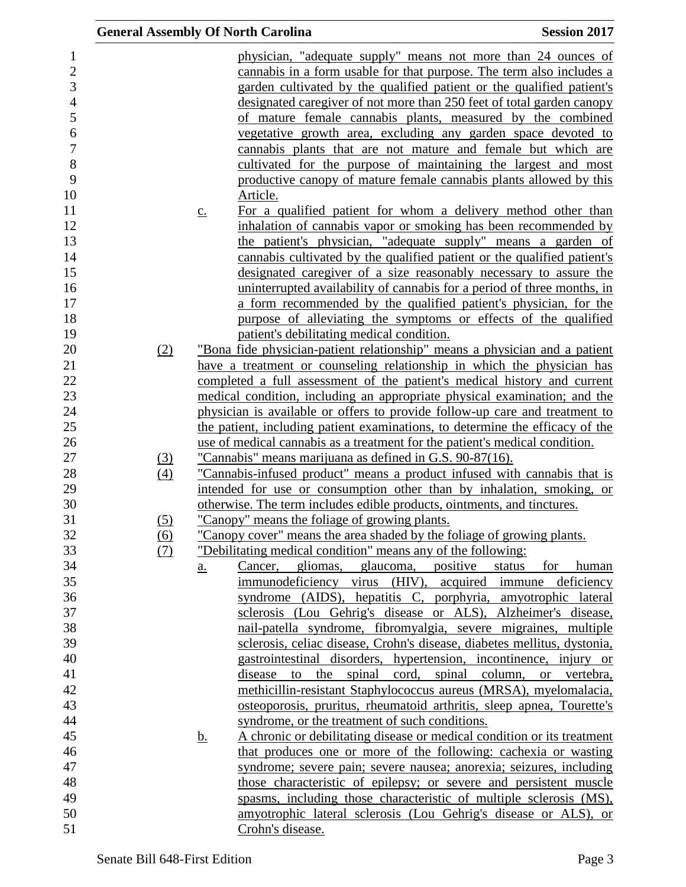|                                                                                                                                           | <b>General Assembly Of North Carolina</b> |                            |                                                                                                                                                                                                                                                                                                                                                                                                                                                                                                                                                                                                                                                                                                                                                                                                                                                                                                                                                                                                                                                                           | <b>Session 2017</b>    |
|-------------------------------------------------------------------------------------------------------------------------------------------|-------------------------------------------|----------------------------|---------------------------------------------------------------------------------------------------------------------------------------------------------------------------------------------------------------------------------------------------------------------------------------------------------------------------------------------------------------------------------------------------------------------------------------------------------------------------------------------------------------------------------------------------------------------------------------------------------------------------------------------------------------------------------------------------------------------------------------------------------------------------------------------------------------------------------------------------------------------------------------------------------------------------------------------------------------------------------------------------------------------------------------------------------------------------|------------------------|
| 1<br>$\overline{c}$<br>3<br>$\overline{4}$<br>5<br>$\boldsymbol{6}$<br>$\overline{7}$<br>8<br>9<br>10<br>11<br>12<br>13<br>14<br>15<br>16 |                                           | $\underline{c}$ .          | physician, "adequate supply" means not more than 24 ounces of<br>cannabis in a form usable for that purpose. The term also includes a<br>garden cultivated by the qualified patient or the qualified patient's<br>designated caregiver of not more than 250 feet of total garden canopy<br>of mature female cannabis plants, measured by the combined<br>vegetative growth area, excluding any garden space devoted to<br>cannabis plants that are not mature and female but which are<br>cultivated for the purpose of maintaining the largest and most<br>productive canopy of mature female cannabis plants allowed by this<br>Article.<br>For a qualified patient for whom a delivery method other than<br>inhalation of cannabis vapor or smoking has been recommended by<br>the patient's physician, "adequate supply" means a garden of<br>cannabis cultivated by the qualified patient or the qualified patient's<br>designated caregiver of a size reasonably necessary to assure the<br>uninterrupted availability of cannabis for a period of three months, in |                        |
| 17                                                                                                                                        |                                           |                            | a form recommended by the qualified patient's physician, for the                                                                                                                                                                                                                                                                                                                                                                                                                                                                                                                                                                                                                                                                                                                                                                                                                                                                                                                                                                                                          |                        |
| 18                                                                                                                                        |                                           |                            | purpose of alleviating the symptoms or effects of the qualified                                                                                                                                                                                                                                                                                                                                                                                                                                                                                                                                                                                                                                                                                                                                                                                                                                                                                                                                                                                                           |                        |
| 19                                                                                                                                        |                                           |                            | patient's debilitating medical condition.                                                                                                                                                                                                                                                                                                                                                                                                                                                                                                                                                                                                                                                                                                                                                                                                                                                                                                                                                                                                                                 |                        |
| 20                                                                                                                                        | (2)                                       |                            | "Bona fide physician-patient relationship" means a physician and a patient                                                                                                                                                                                                                                                                                                                                                                                                                                                                                                                                                                                                                                                                                                                                                                                                                                                                                                                                                                                                |                        |
| 21<br>22                                                                                                                                  |                                           |                            | have a treatment or counseling relationship in which the physician has<br>completed a full assessment of the patient's medical history and current                                                                                                                                                                                                                                                                                                                                                                                                                                                                                                                                                                                                                                                                                                                                                                                                                                                                                                                        |                        |
| 23                                                                                                                                        |                                           |                            | medical condition, including an appropriate physical examination; and the                                                                                                                                                                                                                                                                                                                                                                                                                                                                                                                                                                                                                                                                                                                                                                                                                                                                                                                                                                                                 |                        |
| 24                                                                                                                                        |                                           |                            | physician is available or offers to provide follow-up care and treatment to                                                                                                                                                                                                                                                                                                                                                                                                                                                                                                                                                                                                                                                                                                                                                                                                                                                                                                                                                                                               |                        |
| 25                                                                                                                                        |                                           |                            | the patient, including patient examinations, to determine the efficacy of the                                                                                                                                                                                                                                                                                                                                                                                                                                                                                                                                                                                                                                                                                                                                                                                                                                                                                                                                                                                             |                        |
| 26                                                                                                                                        |                                           |                            | use of medical cannabis as a treatment for the patient's medical condition.                                                                                                                                                                                                                                                                                                                                                                                                                                                                                                                                                                                                                                                                                                                                                                                                                                                                                                                                                                                               |                        |
| 27                                                                                                                                        | <u>(3)</u>                                |                            | "Cannabis" means marijuana as defined in G.S. 90-87(16).                                                                                                                                                                                                                                                                                                                                                                                                                                                                                                                                                                                                                                                                                                                                                                                                                                                                                                                                                                                                                  |                        |
| 28                                                                                                                                        | (4)                                       |                            | "Cannabis-infused product" means a product infused with cannabis that is                                                                                                                                                                                                                                                                                                                                                                                                                                                                                                                                                                                                                                                                                                                                                                                                                                                                                                                                                                                                  |                        |
| 29                                                                                                                                        |                                           |                            | intended for use or consumption other than by inhalation, smoking, or                                                                                                                                                                                                                                                                                                                                                                                                                                                                                                                                                                                                                                                                                                                                                                                                                                                                                                                                                                                                     |                        |
| 30                                                                                                                                        |                                           |                            | otherwise. The term includes edible products, ointments, and tinctures.                                                                                                                                                                                                                                                                                                                                                                                                                                                                                                                                                                                                                                                                                                                                                                                                                                                                                                                                                                                                   |                        |
| 31                                                                                                                                        | (5)                                       |                            | "Canopy" means the foliage of growing plants.                                                                                                                                                                                                                                                                                                                                                                                                                                                                                                                                                                                                                                                                                                                                                                                                                                                                                                                                                                                                                             |                        |
| 32                                                                                                                                        | (6)                                       |                            | "Canopy cover" means the area shaded by the foliage of growing plants.                                                                                                                                                                                                                                                                                                                                                                                                                                                                                                                                                                                                                                                                                                                                                                                                                                                                                                                                                                                                    |                        |
| 33                                                                                                                                        | <u>(7)</u>                                |                            | "Debilitating medical condition" means any of the following:                                                                                                                                                                                                                                                                                                                                                                                                                                                                                                                                                                                                                                                                                                                                                                                                                                                                                                                                                                                                              |                        |
| 34                                                                                                                                        |                                           | $\underline{\mathbf{a}}$ . | gliomas, glaucoma, positive<br>Cancer,                                                                                                                                                                                                                                                                                                                                                                                                                                                                                                                                                                                                                                                                                                                                                                                                                                                                                                                                                                                                                                    | status<br>for<br>human |
| 35<br>36                                                                                                                                  |                                           |                            | immunodeficiency virus (HIV), acquired immune deficiency<br>syndrome (AIDS), hepatitis C, porphyria, amyotrophic lateral                                                                                                                                                                                                                                                                                                                                                                                                                                                                                                                                                                                                                                                                                                                                                                                                                                                                                                                                                  |                        |
| 37                                                                                                                                        |                                           |                            | sclerosis (Lou Gehrig's disease or ALS), Alzheimer's disease,                                                                                                                                                                                                                                                                                                                                                                                                                                                                                                                                                                                                                                                                                                                                                                                                                                                                                                                                                                                                             |                        |
| 38                                                                                                                                        |                                           |                            | nail-patella syndrome, fibromyalgia, severe migraines, multiple                                                                                                                                                                                                                                                                                                                                                                                                                                                                                                                                                                                                                                                                                                                                                                                                                                                                                                                                                                                                           |                        |
| 39                                                                                                                                        |                                           |                            | sclerosis, celiac disease, Crohn's disease, diabetes mellitus, dystonia,                                                                                                                                                                                                                                                                                                                                                                                                                                                                                                                                                                                                                                                                                                                                                                                                                                                                                                                                                                                                  |                        |
| 40                                                                                                                                        |                                           |                            | gastrointestinal disorders, hypertension, incontinence, injury or                                                                                                                                                                                                                                                                                                                                                                                                                                                                                                                                                                                                                                                                                                                                                                                                                                                                                                                                                                                                         |                        |
| 41                                                                                                                                        |                                           |                            | the spinal cord, spinal column, or vertebra,<br>disease to                                                                                                                                                                                                                                                                                                                                                                                                                                                                                                                                                                                                                                                                                                                                                                                                                                                                                                                                                                                                                |                        |
| 42                                                                                                                                        |                                           |                            | methicillin-resistant Staphylococcus aureus (MRSA), myelomalacia,                                                                                                                                                                                                                                                                                                                                                                                                                                                                                                                                                                                                                                                                                                                                                                                                                                                                                                                                                                                                         |                        |
| 43                                                                                                                                        |                                           |                            | osteoporosis, pruritus, rheumatoid arthritis, sleep apnea, Tourette's                                                                                                                                                                                                                                                                                                                                                                                                                                                                                                                                                                                                                                                                                                                                                                                                                                                                                                                                                                                                     |                        |
| 44                                                                                                                                        |                                           |                            | syndrome, or the treatment of such conditions.                                                                                                                                                                                                                                                                                                                                                                                                                                                                                                                                                                                                                                                                                                                                                                                                                                                                                                                                                                                                                            |                        |
| 45                                                                                                                                        |                                           | <u>b.</u>                  | A chronic or debilitating disease or medical condition or its treatment                                                                                                                                                                                                                                                                                                                                                                                                                                                                                                                                                                                                                                                                                                                                                                                                                                                                                                                                                                                                   |                        |
| 46                                                                                                                                        |                                           |                            | that produces one or more of the following: cachexia or wasting                                                                                                                                                                                                                                                                                                                                                                                                                                                                                                                                                                                                                                                                                                                                                                                                                                                                                                                                                                                                           |                        |
| 47                                                                                                                                        |                                           |                            | syndrome; severe pain; severe nausea; anorexia; seizures, including                                                                                                                                                                                                                                                                                                                                                                                                                                                                                                                                                                                                                                                                                                                                                                                                                                                                                                                                                                                                       |                        |
| 48                                                                                                                                        |                                           |                            | those characteristic of epilepsy; or severe and persistent muscle                                                                                                                                                                                                                                                                                                                                                                                                                                                                                                                                                                                                                                                                                                                                                                                                                                                                                                                                                                                                         |                        |
| 49                                                                                                                                        |                                           |                            | spasms, including those characteristic of multiple sclerosis (MS),                                                                                                                                                                                                                                                                                                                                                                                                                                                                                                                                                                                                                                                                                                                                                                                                                                                                                                                                                                                                        |                        |
| 50                                                                                                                                        |                                           |                            | amyotrophic lateral sclerosis (Lou Gehrig's disease or ALS), or                                                                                                                                                                                                                                                                                                                                                                                                                                                                                                                                                                                                                                                                                                                                                                                                                                                                                                                                                                                                           |                        |
| 51                                                                                                                                        |                                           |                            | Crohn's disease.                                                                                                                                                                                                                                                                                                                                                                                                                                                                                                                                                                                                                                                                                                                                                                                                                                                                                                                                                                                                                                                          |                        |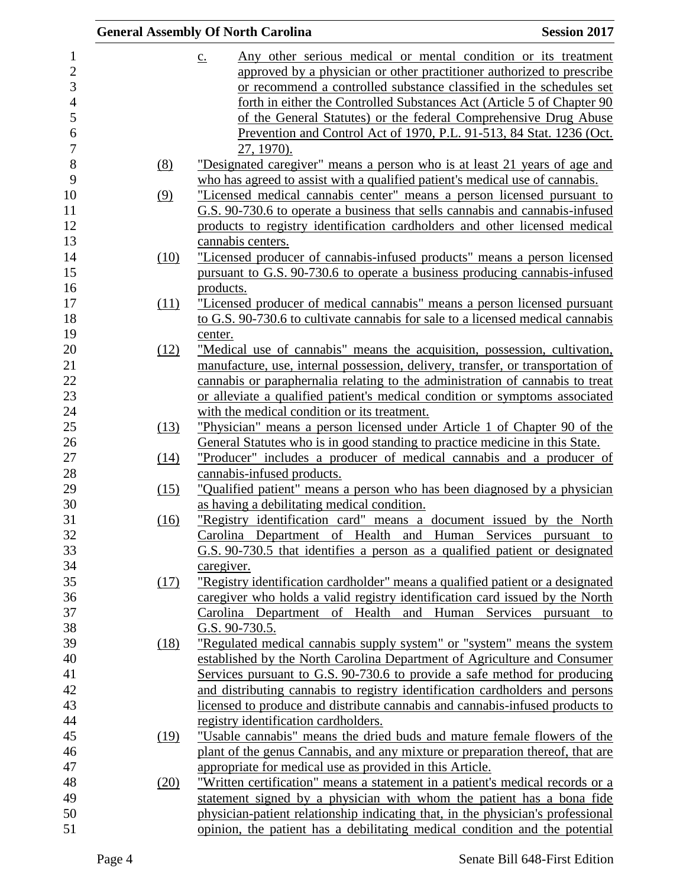|      | <b>General Assembly Of North Carolina</b>                                           | <b>Session 2017</b> |
|------|-------------------------------------------------------------------------------------|---------------------|
|      | Any other serious medical or mental condition or its treatment<br>$\underline{c}$ . |                     |
|      | approved by a physician or other practitioner authorized to prescribe               |                     |
|      | or recommend a controlled substance classified in the schedules set                 |                     |
|      | forth in either the Controlled Substances Act (Article 5 of Chapter 90              |                     |
|      | of the General Statutes) or the federal Comprehensive Drug Abuse                    |                     |
|      | Prevention and Control Act of 1970, P.L. 91-513, 84 Stat. 1236 (Oct.                |                     |
|      | 27, 1970).                                                                          |                     |
| (8)  | "Designated caregiver" means a person who is at least 21 years of age and           |                     |
|      | who has agreed to assist with a qualified patient's medical use of cannabis.        |                     |
| (9)  | "Licensed medical cannabis center" means a person licensed pursuant to              |                     |
|      | G.S. 90-730.6 to operate a business that sells cannabis and cannabis-infused        |                     |
|      | products to registry identification cardholders and other licensed medical          |                     |
|      | cannabis centers.                                                                   |                     |
| (10) | "Licensed producer of cannabis-infused products" means a person licensed            |                     |
|      | pursuant to G.S. 90-730.6 to operate a business producing cannabis-infused          |                     |
|      | products.                                                                           |                     |
| (11) | <u>"Licensed producer of medical cannabis" means a person licensed pursuant</u>     |                     |
|      | to G.S. 90-730.6 to cultivate cannabis for sale to a licensed medical cannabis      |                     |
|      | center.                                                                             |                     |
| (12) | "Medical use of cannabis" means the acquisition, possession, cultivation,           |                     |
|      | manufacture, use, internal possession, delivery, transfer, or transportation of     |                     |
|      | cannabis or paraphernalia relating to the administration of cannabis to treat       |                     |
|      | or alleviate a qualified patient's medical condition or symptoms associated         |                     |
|      | with the medical condition or its treatment.                                        |                     |
| (13) | "Physician" means a person licensed under Article 1 of Chapter 90 of the            |                     |
|      | General Statutes who is in good standing to practice medicine in this State.        |                     |
| (14) | "Producer" includes a producer of medical cannabis and a producer of                |                     |
|      | cannabis-infused products.                                                          |                     |
| (15) | "Qualified patient" means a person who has been diagnosed by a physician            |                     |
|      | as having a debilitating medical condition.                                         |                     |
| (16) | "Registry identification card" means a document issued by the North                 |                     |
|      | Carolina Department of Health and Human Services pursuant to                        |                     |
|      | G.S. 90-730.5 that identifies a person as a qualified patient or designated         |                     |
|      | caregiver.                                                                          |                     |
| (17) | "Registry identification cardholder" means a qualified patient or a designated      |                     |
|      | caregiver who holds a valid registry identification card issued by the North        |                     |
|      | Carolina Department of Health and Human Services pursuant to                        |                     |
|      | G.S. 90-730.5.                                                                      |                     |
|      | "Regulated medical cannabis supply system" or "system" means the system             |                     |
| (18) | established by the North Carolina Department of Agriculture and Consumer            |                     |
|      | Services pursuant to G.S. 90-730.6 to provide a safe method for producing           |                     |
|      | and distributing cannabis to registry identification cardholders and persons        |                     |
|      |                                                                                     |                     |
|      | licensed to produce and distribute cannabis and cannabis-infused products to        |                     |
|      | registry identification cardholders.                                                |                     |
| (19) | "Usable cannabis" means the dried buds and mature female flowers of the             |                     |
|      | plant of the genus Cannabis, and any mixture or preparation thereof, that are       |                     |
|      | appropriate for medical use as provided in this Article.                            |                     |
| (20) | "Written certification" means a statement in a patient's medical records or a       |                     |
|      | statement signed by a physician with whom the patient has a bona fide               |                     |
|      | physician-patient relationship indicating that, in the physician's professional     |                     |
|      | opinion, the patient has a debilitating medical condition and the potential         |                     |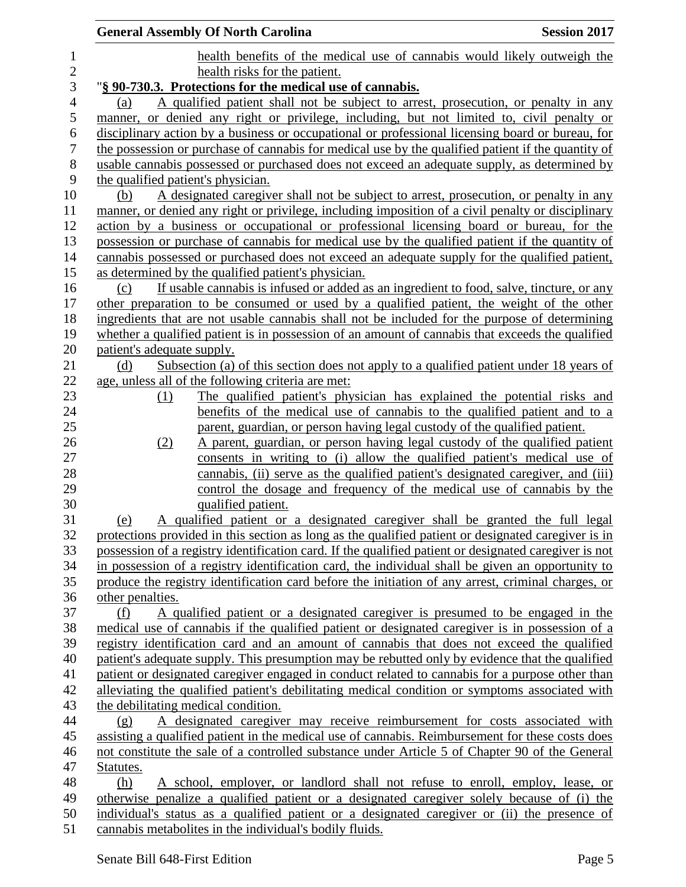|                  | <b>General Assembly Of North Carolina</b><br><b>Session 2017</b>                                                                                                                                   |
|------------------|----------------------------------------------------------------------------------------------------------------------------------------------------------------------------------------------------|
| 1                | health benefits of the medical use of cannabis would likely outweigh the                                                                                                                           |
| $\sqrt{2}$       | health risks for the patient.                                                                                                                                                                      |
| 3                | "§ 90-730.3. Protections for the medical use of cannabis.                                                                                                                                          |
| $\overline{4}$   | A qualified patient shall not be subject to arrest, prosecution, or penalty in any<br>(a)                                                                                                          |
| 5                | manner, or denied any right or privilege, including, but not limited to, civil penalty or                                                                                                          |
| 6                | disciplinary action by a business or occupational or professional licensing board or bureau, for                                                                                                   |
| $\boldsymbol{7}$ | the possession or purchase of cannabis for medical use by the qualified patient if the quantity of                                                                                                 |
| $8\,$            | usable cannabis possessed or purchased does not exceed an adequate supply, as determined by                                                                                                        |
| 9                | the qualified patient's physician.                                                                                                                                                                 |
| 10               | A designated caregiver shall not be subject to arrest, prosecution, or penalty in any<br>(b)                                                                                                       |
| 11               | manner, or denied any right or privilege, including imposition of a civil penalty or disciplinary                                                                                                  |
| 12               | action by a business or occupational or professional licensing board or bureau, for the                                                                                                            |
| 13               | possession or purchase of cannabis for medical use by the qualified patient if the quantity of                                                                                                     |
| 14               | cannabis possessed or purchased does not exceed an adequate supply for the qualified patient,                                                                                                      |
| 15               | as determined by the qualified patient's physician.                                                                                                                                                |
| 16               | If usable cannabis is infused or added as an ingredient to food, salve, tincture, or any<br>(c)                                                                                                    |
| 17               | other preparation to be consumed or used by a qualified patient, the weight of the other                                                                                                           |
| 18               | ingredients that are not usable cannabis shall not be included for the purpose of determining                                                                                                      |
| 19               | whether a qualified patient is in possession of an amount of cannabis that exceeds the qualified                                                                                                   |
| 20<br>21         | patient's adequate supply.<br>Subsection (a) of this section does not apply to a qualified patient under 18 years of                                                                               |
| 22               | (d)<br>age, unless all of the following criteria are met:                                                                                                                                          |
| 23               | The qualified patient's physician has explained the potential risks and<br>(1)                                                                                                                     |
| 24               | benefits of the medical use of cannabis to the qualified patient and to a                                                                                                                          |
| 25               | parent, guardian, or person having legal custody of the qualified patient.                                                                                                                         |
| 26               | A parent, guardian, or person having legal custody of the qualified patient<br>(2)                                                                                                                 |
| 27               | consents in writing to (i) allow the qualified patient's medical use of                                                                                                                            |
| 28               | cannabis, (ii) serve as the qualified patient's designated caregiver, and (iii)                                                                                                                    |
| 29               | control the dosage and frequency of the medical use of cannabis by the                                                                                                                             |
| 30               | qualified patient.                                                                                                                                                                                 |
| 31               | A qualified patient or a designated caregiver shall be granted the full legal<br>(e)                                                                                                               |
| 32               | protections provided in this section as long as the qualified patient or designated caregiver is in                                                                                                |
| 33               | possession of a registry identification card. If the qualified patient or designated caregiver is not                                                                                              |
| 34               | in possession of a registry identification card, the individual shall be given an opportunity to                                                                                                   |
| 35               | produce the registry identification card before the initiation of any arrest, criminal charges, or                                                                                                 |
| 36               | other penalties.                                                                                                                                                                                   |
| 37               | A qualified patient or a designated caregiver is presumed to be engaged in the<br>(f)                                                                                                              |
| 38               | medical use of cannabis if the qualified patient or designated caregiver is in possession of a                                                                                                     |
| 39               | registry identification card and an amount of cannabis that does not exceed the qualified                                                                                                          |
| 40               | patient's adequate supply. This presumption may be rebutted only by evidence that the qualified                                                                                                    |
| 41               | patient or designated caregiver engaged in conduct related to cannabis for a purpose other than                                                                                                    |
| 42               | alleviating the qualified patient's debilitating medical condition or symptoms associated with                                                                                                     |
| 43               | the debilitating medical condition.                                                                                                                                                                |
| 44               | A designated caregiver may receive reimbursement for costs associated with<br>(g)                                                                                                                  |
| 45<br>46         | assisting a qualified patient in the medical use of cannabis. Reimbursement for these costs does<br>not constitute the sale of a controlled substance under Article 5 of Chapter 90 of the General |
| 47               | Statutes.                                                                                                                                                                                          |
| 48               | A school, employer, or landlord shall not refuse to enroll, employ, lease, or<br>(h)                                                                                                               |
| 49               | otherwise penalize a qualified patient or a designated caregiver solely because of (i) the                                                                                                         |
| 50               | individual's status as a qualified patient or a designated caregiver or (ii) the presence of                                                                                                       |
| 51               | cannabis metabolites in the individual's bodily fluids.                                                                                                                                            |
|                  |                                                                                                                                                                                                    |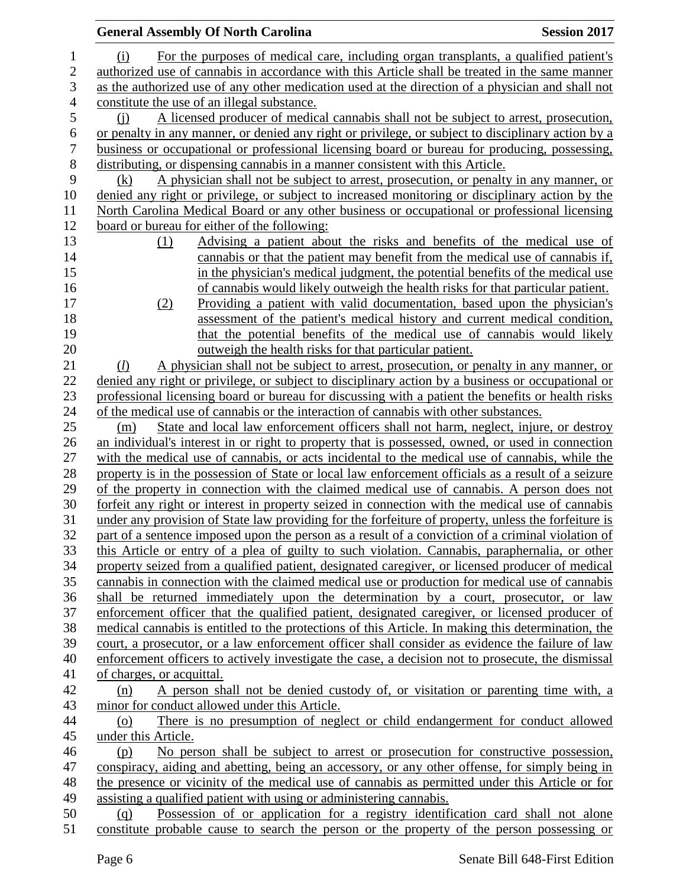|              | <b>General Assembly Of North Carolina</b>                                                           | <b>Session 2017</b> |
|--------------|-----------------------------------------------------------------------------------------------------|---------------------|
| 1            | For the purposes of medical care, including organ transplants, a qualified patient's<br>(i)         |                     |
| $\mathbf{2}$ | authorized use of cannabis in accordance with this Article shall be treated in the same manner      |                     |
| 3            | as the authorized use of any other medication used at the direction of a physician and shall not    |                     |
| 4            | constitute the use of an illegal substance.                                                         |                     |
| 5            | A licensed producer of medical cannabis shall not be subject to arrest, prosecution,<br>(i)         |                     |
| 6            | or penalty in any manner, or denied any right or privilege, or subject to disciplinary action by a  |                     |
| 7            | business or occupational or professional licensing board or bureau for producing, possessing,       |                     |
| $8\,$        | distributing, or dispensing cannabis in a manner consistent with this Article.                      |                     |
| 9            | A physician shall not be subject to arrest, prosecution, or penalty in any manner, or<br>(k)        |                     |
| 10           | denied any right or privilege, or subject to increased monitoring or disciplinary action by the     |                     |
| 11           | North Carolina Medical Board or any other business or occupational or professional licensing        |                     |
| 12           | board or bureau for either of the following:                                                        |                     |
| 13           | Advising a patient about the risks and benefits of the medical use of<br>(1)                        |                     |
| 14           | cannabis or that the patient may benefit from the medical use of cannabis if,                       |                     |
| 15           | in the physician's medical judgment, the potential benefits of the medical use                      |                     |
| 16           | of cannabis would likely outweigh the health risks for that particular patient.                     |                     |
| 17           | Providing a patient with valid documentation, based upon the physician's<br>(2)                     |                     |
| 18           | assessment of the patient's medical history and current medical condition,                          |                     |
| 19           | that the potential benefits of the medical use of cannabis would likely                             |                     |
| 20           | outweigh the health risks for that particular patient.                                              |                     |
| 21           | A physician shall not be subject to arrest, prosecution, or penalty in any manner, or<br>(D)        |                     |
| 22           | denied any right or privilege, or subject to disciplinary action by a business or occupational or   |                     |
| 23           | professional licensing board or bureau for discussing with a patient the benefits or health risks   |                     |
| 24           | of the medical use of cannabis or the interaction of cannabis with other substances.                |                     |
| 25           | State and local law enforcement officers shall not harm, neglect, injure, or destroy<br>(m)         |                     |
| 26           | an individual's interest in or right to property that is possessed, owned, or used in connection    |                     |
| 27           | with the medical use of cannabis, or acts incidental to the medical use of cannabis, while the      |                     |
| 28           | property is in the possession of State or local law enforcement officials as a result of a seizure  |                     |
| 29           | of the property in connection with the claimed medical use of cannabis. A person does not           |                     |
| 30           | forfeit any right or interest in property seized in connection with the medical use of cannabis     |                     |
| 31           | under any provision of State law providing for the forfeiture of property, unless the forfeiture is |                     |
| 32           | part of a sentence imposed upon the person as a result of a conviction of a criminal violation of   |                     |
| 33           | this Article or entry of a plea of guilty to such violation. Cannabis, paraphernalia, or other      |                     |
| 34           | property seized from a qualified patient, designated caregiver, or licensed producer of medical     |                     |
| 35           | cannabis in connection with the claimed medical use or production for medical use of cannabis       |                     |
| 36           | shall be returned immediately upon the determination by a court, prosecutor, or law                 |                     |
| 37           | enforcement officer that the qualified patient, designated caregiver, or licensed producer of       |                     |
| 38           | medical cannabis is entitled to the protections of this Article. In making this determination, the  |                     |
| 39           | court, a prosecutor, or a law enforcement officer shall consider as evidence the failure of law     |                     |
| 40           | enforcement officers to actively investigate the case, a decision not to prosecute, the dismissal   |                     |
| 41           | of charges, or acquittal.                                                                           |                     |
| 42           | A person shall not be denied custody of, or visitation or parenting time with, a<br>(n)             |                     |
| 43           | minor for conduct allowed under this Article.                                                       |                     |
| 44           | There is no presumption of neglect or child endangerment for conduct allowed<br>(0)                 |                     |
| 45           | under this Article.                                                                                 |                     |
| 46           | No person shall be subject to arrest or prosecution for constructive possession,<br>(p)             |                     |
| 47           | conspiracy, aiding and abetting, being an accessory, or any other offense, for simply being in      |                     |
| 48           | the presence or vicinity of the medical use of cannabis as permitted under this Article or for      |                     |
| 49           | assisting a qualified patient with using or administering cannabis.                                 |                     |
| 50           | Possession of or application for a registry identification card shall not alone<br>(q)              |                     |
| 51           | constitute probable cause to search the person or the property of the person possessing or          |                     |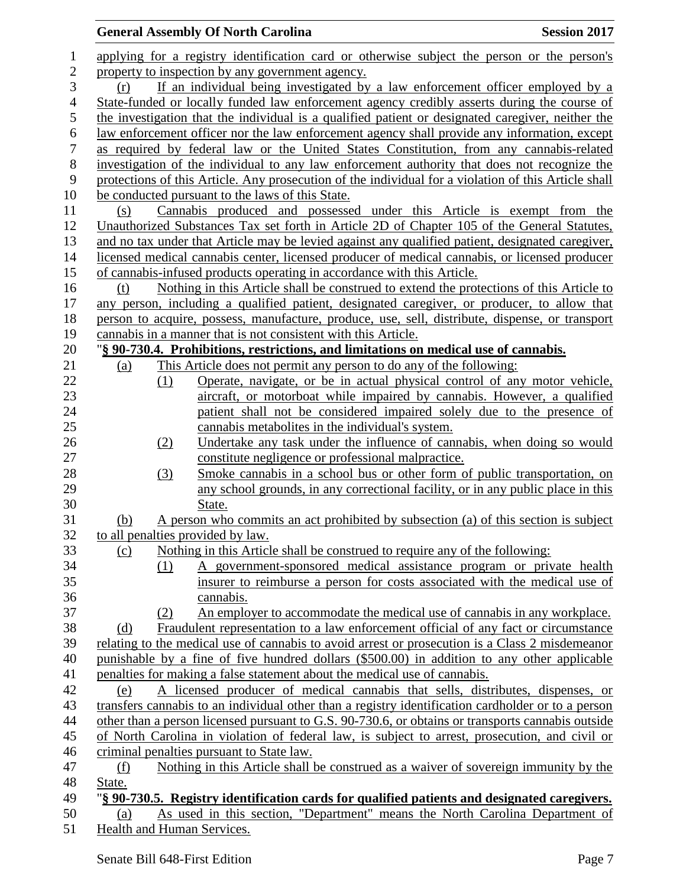## **General Assembly Of North Carolina Session 2017**  applying for a registry identification card or otherwise subject the person or the person's 2 property to inspection by any government agency. (r) If an individual being investigated by a law enforcement officer employed by a State-funded or locally funded law enforcement agency credibly asserts during the course of the investigation that the individual is a qualified patient or designated caregiver, neither the law enforcement officer nor the law enforcement agency shall provide any information, except as required by federal law or the United States Constitution, from any cannabis-related investigation of the individual to any law enforcement authority that does not recognize the protections of this Article. Any prosecution of the individual for a violation of this Article shall be conducted pursuant to the laws of this State. (s) Cannabis produced and possessed under this Article is exempt from the Unauthorized Substances Tax set forth in Article 2D of Chapter 105 of the General Statutes, and no tax under that Article may be levied against any qualified patient, designated caregiver, licensed medical cannabis center, licensed producer of medical cannabis, or licensed producer of cannabis-infused products operating in accordance with this Article. (t) Nothing in this Article shall be construed to extend the protections of this Article to any person, including a qualified patient, designated caregiver, or producer, to allow that person to acquire, possess, manufacture, produce, use, sell, distribute, dispense, or transport cannabis in a manner that is not consistent with this Article. "**§ 90-730.4. Prohibitions, restrictions, and limitations on medical use of cannabis.** (a) This Article does not permit any person to do any of the following: (1) Operate, navigate, or be in actual physical control of any motor vehicle, aircraft, or motorboat while impaired by cannabis. However, a qualified patient shall not be considered impaired solely due to the presence of cannabis metabolites in the individual's system. (2) Undertake any task under the influence of cannabis, when doing so would constitute negligence or professional malpractice. (3) Smoke cannabis in a school bus or other form of public transportation, on any school grounds, in any correctional facility, or in any public place in this State. (b) A person who commits an act prohibited by subsection (a) of this section is subject to all penalties provided by law. (c) Nothing in this Article shall be construed to require any of the following: (1) A government-sponsored medical assistance program or private health insurer to reimburse a person for costs associated with the medical use of cannabis. (2) An employer to accommodate the medical use of cannabis in any workplace. (d) Fraudulent representation to a law enforcement official of any fact or circumstance relating to the medical use of cannabis to avoid arrest or prosecution is a Class 2 misdemeanor punishable by a fine of five hundred dollars (\$500.00) in addition to any other applicable penalties for making a false statement about the medical use of cannabis. (e) A licensed producer of medical cannabis that sells, distributes, dispenses, or transfers cannabis to an individual other than a registry identification cardholder or to a person other than a person licensed pursuant to G.S. 90-730.6, or obtains or transports cannabis outside of North Carolina in violation of federal law, is subject to arrest, prosecution, and civil or criminal penalties pursuant to State law. (f) Nothing in this Article shall be construed as a waiver of sovereign immunity by the State. "**§ 90-730.5. Registry identification cards for qualified patients and designated caregivers.** (a) As used in this section, "Department" means the North Carolina Department of Health and Human Services.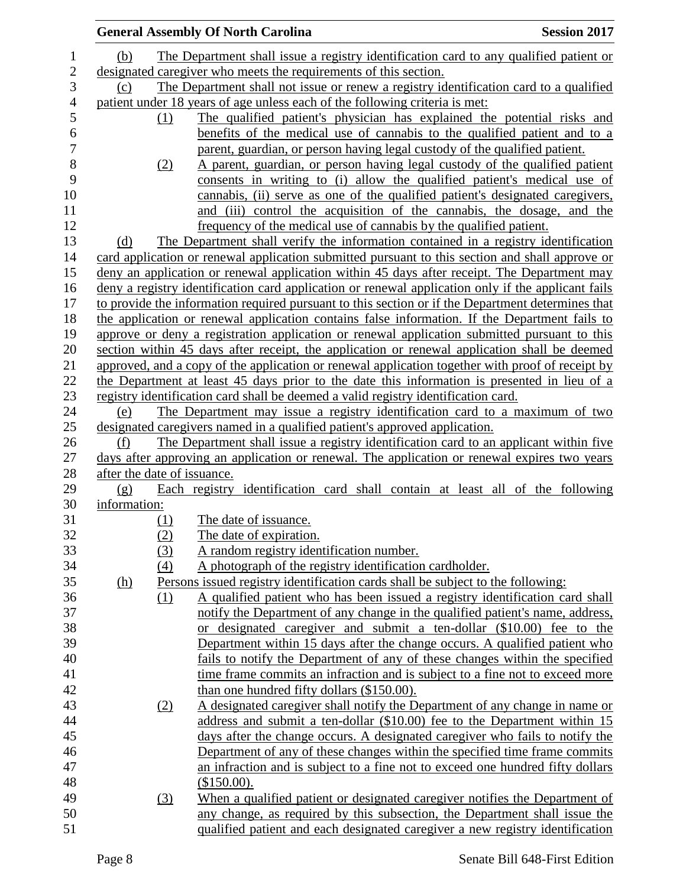|              |                                                                                              | <b>General Assembly Of North Carolina</b>                                                          | <b>Session 2017</b> |  |  |
|--------------|----------------------------------------------------------------------------------------------|----------------------------------------------------------------------------------------------------|---------------------|--|--|
| (b)          |                                                                                              | The Department shall issue a registry identification card to any qualified patient or              |                     |  |  |
|              |                                                                                              | designated caregiver who meets the requirements of this section.                                   |                     |  |  |
|              | The Department shall not issue or renew a registry identification card to a qualified<br>(c) |                                                                                                    |                     |  |  |
|              |                                                                                              | patient under 18 years of age unless each of the following criteria is met:                        |                     |  |  |
|              | (1)                                                                                          | The qualified patient's physician has explained the potential risks and                            |                     |  |  |
|              |                                                                                              | benefits of the medical use of cannabis to the qualified patient and to a                          |                     |  |  |
|              |                                                                                              | parent, guardian, or person having legal custody of the qualified patient.                         |                     |  |  |
|              | (2)                                                                                          | A parent, guardian, or person having legal custody of the qualified patient                        |                     |  |  |
|              |                                                                                              | consents in writing to (i) allow the qualified patient's medical use of                            |                     |  |  |
|              |                                                                                              | cannabis, (ii) serve as one of the qualified patient's designated caregivers,                      |                     |  |  |
|              |                                                                                              | and (iii) control the acquisition of the cannabis, the dosage, and the                             |                     |  |  |
|              |                                                                                              | frequency of the medical use of cannabis by the qualified patient.                                 |                     |  |  |
| (d)          |                                                                                              | The Department shall verify the information contained in a registry identification                 |                     |  |  |
|              |                                                                                              | card application or renewal application submitted pursuant to this section and shall approve or    |                     |  |  |
|              |                                                                                              | deny an application or renewal application within 45 days after receipt. The Department may        |                     |  |  |
|              |                                                                                              | deny a registry identification card application or renewal application only if the applicant fails |                     |  |  |
|              |                                                                                              | to provide the information required pursuant to this section or if the Department determines that  |                     |  |  |
|              |                                                                                              | the application or renewal application contains false information. If the Department fails to      |                     |  |  |
|              |                                                                                              | approve or deny a registration application or renewal application submitted pursuant to this       |                     |  |  |
|              |                                                                                              | section within 45 days after receipt, the application or renewal application shall be deemed       |                     |  |  |
|              |                                                                                              | approved, and a copy of the application or renewal application together with proof of receipt by   |                     |  |  |
|              |                                                                                              | the Department at least 45 days prior to the date this information is presented in lieu of a       |                     |  |  |
|              |                                                                                              | registry identification card shall be deemed a valid registry identification card.                 |                     |  |  |
| (e)          |                                                                                              | The Department may issue a registry identification card to a maximum of two                        |                     |  |  |
|              |                                                                                              | designated caregivers named in a qualified patient's approved application.                         |                     |  |  |
| (f)          |                                                                                              | The Department shall issue a registry identification card to an applicant within five              |                     |  |  |
|              |                                                                                              | days after approving an application or renewal. The application or renewal expires two years       |                     |  |  |
|              | after the date of issuance.                                                                  |                                                                                                    |                     |  |  |
| (g)          |                                                                                              | Each registry identification card shall contain at least all of the following                      |                     |  |  |
| information: |                                                                                              |                                                                                                    |                     |  |  |
|              | (1)                                                                                          | The date of issuance.                                                                              |                     |  |  |
|              | (2)                                                                                          | The date of expiration.                                                                            |                     |  |  |
|              | (3)                                                                                          | A random registry identification number.                                                           |                     |  |  |
|              | (4)                                                                                          | A photograph of the registry identification cardholder.                                            |                     |  |  |
| <u>(h)</u>   |                                                                                              | Persons issued registry identification cards shall be subject to the following:                    |                     |  |  |
|              | (1)                                                                                          | A qualified patient who has been issued a registry identification card shall                       |                     |  |  |
|              |                                                                                              | notify the Department of any change in the qualified patient's name, address,                      |                     |  |  |
|              |                                                                                              | or designated caregiver and submit a ten-dollar (\$10.00) fee to the                               |                     |  |  |
|              |                                                                                              | Department within 15 days after the change occurs. A qualified patient who                         |                     |  |  |
|              |                                                                                              | fails to notify the Department of any of these changes within the specified                        |                     |  |  |
|              |                                                                                              | time frame commits an infraction and is subject to a fine not to exceed more                       |                     |  |  |
|              |                                                                                              | than one hundred fifty dollars (\$150.00).                                                         |                     |  |  |
|              | (2)                                                                                          | A designated caregiver shall notify the Department of any change in name or                        |                     |  |  |
|              |                                                                                              | address and submit a ten-dollar (\$10.00) fee to the Department within 15                          |                     |  |  |
|              |                                                                                              | days after the change occurs. A designated caregiver who fails to notify the                       |                     |  |  |
|              |                                                                                              | Department of any of these changes within the specified time frame commits                         |                     |  |  |
|              |                                                                                              | an infraction and is subject to a fine not to exceed one hundred fifty dollars                     |                     |  |  |
|              |                                                                                              | (\$150.00).                                                                                        |                     |  |  |
|              | (3)                                                                                          | When a qualified patient or designated caregiver notifies the Department of                        |                     |  |  |
|              |                                                                                              | any change, as required by this subsection, the Department shall issue the                         |                     |  |  |
|              |                                                                                              | qualified patient and each designated caregiver a new registry identification                      |                     |  |  |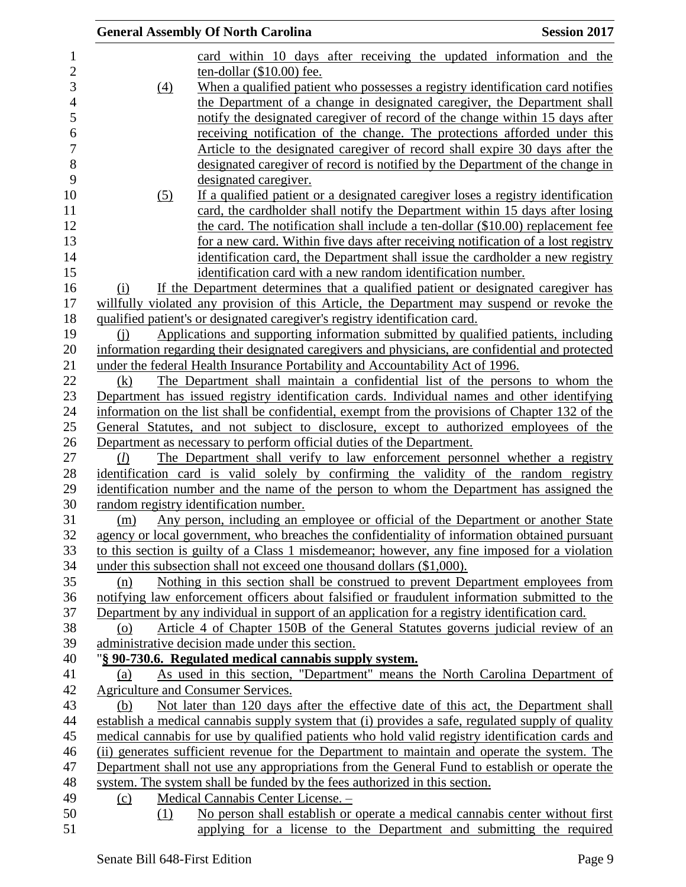|                |                   | <b>General Assembly Of North Carolina</b>                                                        | <b>Session 2017</b> |
|----------------|-------------------|--------------------------------------------------------------------------------------------------|---------------------|
|                |                   | card within 10 days after receiving the updated information and the                              |                     |
| $\overline{c}$ |                   | ten-dollar (\$10.00) fee.                                                                        |                     |
| 3              | $\underline{(4)}$ | When a qualified patient who possesses a registry identification card notifies                   |                     |
| $\overline{4}$ |                   | the Department of a change in designated caregiver, the Department shall                         |                     |
|                |                   | notify the designated caregiver of record of the change within 15 days after                     |                     |
|                |                   | receiving notification of the change. The protections afforded under this                        |                     |
|                |                   | Article to the designated caregiver of record shall expire 30 days after the                     |                     |
|                |                   | designated caregiver of record is notified by the Department of the change in                    |                     |
|                |                   | designated caregiver.                                                                            |                     |
|                | (5)               | If a qualified patient or a designated caregiver loses a registry identification                 |                     |
|                |                   | card, the cardholder shall notify the Department within 15 days after losing                     |                     |
|                |                   | the card. The notification shall include a ten-dollar (\$10.00) replacement fee                  |                     |
|                |                   | for a new card. Within five days after receiving notification of a lost registry                 |                     |
|                |                   | identification card, the Department shall issue the cardholder a new registry                    |                     |
|                |                   | identification card with a new random identification number.                                     |                     |
|                | (i)               | If the Department determines that a qualified patient or designated caregiver has                |                     |
|                |                   | willfully violated any provision of this Article, the Department may suspend or revoke the       |                     |
|                |                   | qualified patient's or designated caregiver's registry identification card.                      |                     |
|                |                   | Applications and supporting information submitted by qualified patients, including               |                     |
|                | (i)               | information regarding their designated caregivers and physicians, are confidential and protected |                     |
|                |                   | under the federal Health Insurance Portability and Accountability Act of 1996.                   |                     |
|                | (k)               | The Department shall maintain a confidential list of the persons to whom the                     |                     |
|                |                   |                                                                                                  |                     |
|                |                   | Department has issued registry identification cards. Individual names and other identifying      |                     |
|                |                   | information on the list shall be confidential, exempt from the provisions of Chapter 132 of the  |                     |
|                |                   | General Statutes, and not subject to disclosure, except to authorized employees of the           |                     |
|                |                   | Department as necessary to perform official duties of the Department.                            |                     |
|                | (l)               | The Department shall verify to law enforcement personnel whether a registry                      |                     |
|                |                   | identification card is valid solely by confirming the validity of the random registry            |                     |
|                |                   | identification number and the name of the person to whom the Department has assigned the         |                     |
|                |                   | random registry identification number.                                                           |                     |
|                | (m)               | Any person, including an employee or official of the Department or another State                 |                     |
|                |                   | agency or local government, who breaches the confidentiality of information obtained pursuant    |                     |
|                |                   | to this section is guilty of a Class 1 misdemeanor; however, any fine imposed for a violation    |                     |
|                |                   | under this subsection shall not exceed one thousand dollars (\$1,000).                           |                     |
|                | (n)               | Nothing in this section shall be construed to prevent Department employees from                  |                     |
|                |                   | notifying law enforcement officers about falsified or fraudulent information submitted to the    |                     |
|                |                   | Department by any individual in support of an application for a registry identification card.    |                     |
|                | (0)               | Article 4 of Chapter 150B of the General Statutes governs judicial review of an                  |                     |
|                |                   | administrative decision made under this section.                                                 |                     |
|                |                   | "§ 90-730.6. Regulated medical cannabis supply system.                                           |                     |
|                | (a)               | As used in this section, "Department" means the North Carolina Department of                     |                     |
|                |                   | Agriculture and Consumer Services.                                                               |                     |
|                | (b)               | Not later than 120 days after the effective date of this act, the Department shall               |                     |
|                |                   | establish a medical cannabis supply system that (i) provides a safe, regulated supply of quality |                     |
|                |                   | medical cannabis for use by qualified patients who hold valid registry identification cards and  |                     |
|                |                   | (ii) generates sufficient revenue for the Department to maintain and operate the system. The     |                     |
|                |                   | Department shall not use any appropriations from the General Fund to establish or operate the    |                     |
|                |                   | system. The system shall be funded by the fees authorized in this section.                       |                     |
|                | (c)               | Medical Cannabis Center License. -                                                               |                     |
|                | (1)               | No person shall establish or operate a medical cannabis center without first                     |                     |
|                |                   | applying for a license to the Department and submitting the required                             |                     |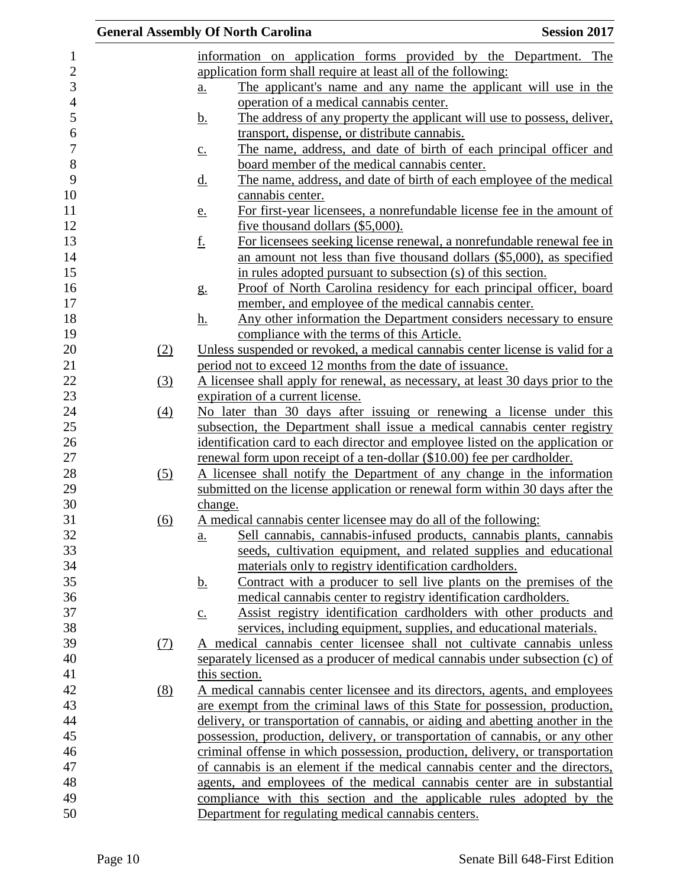|                  | <b>General Assembly Of North Carolina</b>                                                                                  | <b>Session 2017</b> |
|------------------|----------------------------------------------------------------------------------------------------------------------------|---------------------|
|                  | information on application forms provided by the Department. The                                                           |                     |
|                  | application form shall require at least all of the following:                                                              |                     |
|                  | The applicant's name and any name the applicant will use in the<br>$\underline{a}$ .                                       |                     |
|                  | operation of a medical cannabis center.                                                                                    |                     |
|                  | The address of any property the applicant will use to possess, deliver,<br><u>b.</u>                                       |                     |
|                  | transport, dispense, or distribute cannabis.                                                                               |                     |
|                  | The name, address, and date of birth of each principal officer and<br>$c_{\cdot}$                                          |                     |
|                  | board member of the medical cannabis center.                                                                               |                     |
|                  | The name, address, and date of birth of each employee of the medical<br><u>d.</u>                                          |                     |
|                  | cannabis center.                                                                                                           |                     |
|                  | For first-year licensees, a nonrefundable license fee in the amount of<br><u>e.</u>                                        |                     |
|                  | five thousand dollars (\$5,000).                                                                                           |                     |
|                  | <u>f.</u><br>For licensees seeking license renewal, a nonrefundable renewal fee in                                         |                     |
|                  | an amount not less than five thousand dollars (\$5,000), as specified                                                      |                     |
|                  | in rules adopted pursuant to subsection (s) of this section.                                                               |                     |
|                  | Proof of North Carolina residency for each principal officer, board                                                        |                     |
|                  | g <sub>1</sub>                                                                                                             |                     |
|                  | member, and employee of the medical cannabis center.<br>Any other information the Department considers necessary to ensure |                     |
|                  | <u>h.</u>                                                                                                                  |                     |
|                  | compliance with the terms of this Article.                                                                                 |                     |
| (2)              | Unless suspended or revoked, a medical cannabis center license is valid for a                                              |                     |
|                  | period not to exceed 12 months from the date of issuance.                                                                  |                     |
| $\left(3\right)$ | A licensee shall apply for renewal, as necessary, at least 30 days prior to the                                            |                     |
|                  | expiration of a current license.                                                                                           |                     |
| (4)              | No later than 30 days after issuing or renewing a license under this                                                       |                     |
|                  | subsection, the Department shall issue a medical cannabis center registry                                                  |                     |
|                  | identification card to each director and employee listed on the application or                                             |                     |
|                  | renewal form upon receipt of a ten-dollar (\$10.00) fee per cardholder.                                                    |                     |
| (5)              | A licensee shall notify the Department of any change in the information                                                    |                     |
|                  | submitted on the license application or renewal form within 30 days after the                                              |                     |
|                  | change.                                                                                                                    |                     |
| (6)              | A medical cannabis center licensee may do all of the following:                                                            |                     |
|                  | Sell cannabis, cannabis-infused products, cannabis plants, cannabis<br>a.                                                  |                     |
|                  | seeds, cultivation equipment, and related supplies and educational                                                         |                     |
|                  | materials only to registry identification cardholders.                                                                     |                     |
|                  | Contract with a producer to sell live plants on the premises of the<br><u>b.</u>                                           |                     |
|                  | medical cannabis center to registry identification cardholders.                                                            |                     |
|                  | Assist registry identification cardholders with other products and<br>$\underline{c}$ .                                    |                     |
|                  | services, including equipment, supplies, and educational materials.                                                        |                     |
| <u>(7)</u>       | A medical cannabis center licensee shall not cultivate cannabis unless                                                     |                     |
|                  | separately licensed as a producer of medical cannabis under subsection (c) of                                              |                     |
|                  | this section.                                                                                                              |                     |
| (8)              | A medical cannabis center licensee and its directors, agents, and employees                                                |                     |
|                  | are exempt from the criminal laws of this State for possession, production,                                                |                     |
|                  | delivery, or transportation of cannabis, or aiding and abetting another in the                                             |                     |
|                  | possession, production, delivery, or transportation of cannabis, or any other                                              |                     |
|                  | criminal offense in which possession, production, delivery, or transportation                                              |                     |
|                  | of cannabis is an element if the medical cannabis center and the directors,                                                |                     |
|                  | agents, and employees of the medical cannabis center are in substantial                                                    |                     |
|                  | compliance with this section and the applicable rules adopted by the                                                       |                     |
|                  | Department for regulating medical cannabis centers.                                                                        |                     |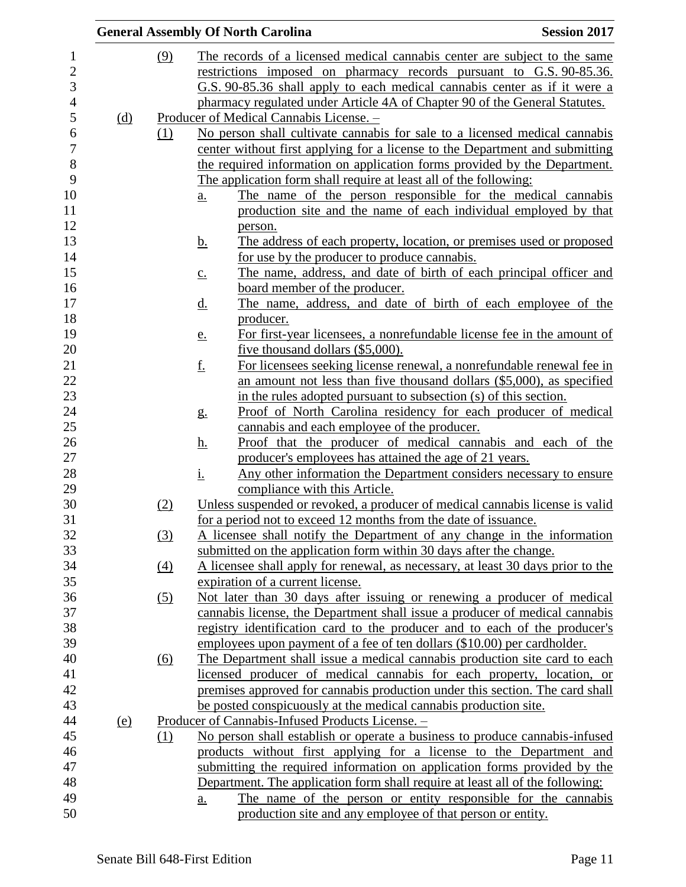|            |     | <b>General Assembly Of North Carolina</b>        |                                                                                                                              | <b>Session 2017</b> |
|------------|-----|--------------------------------------------------|------------------------------------------------------------------------------------------------------------------------------|---------------------|
|            | (9) |                                                  | The records of a licensed medical cannabis center are subject to the same                                                    |                     |
|            |     |                                                  | restrictions imposed on pharmacy records pursuant to G.S. 90-85.36.                                                          |                     |
|            |     |                                                  | G.S. 90-85.36 shall apply to each medical cannabis center as if it were a                                                    |                     |
|            |     |                                                  | pharmacy regulated under Article 4A of Chapter 90 of the General Statutes.                                                   |                     |
| (d)        |     | Producer of Medical Cannabis License. -          |                                                                                                                              |                     |
|            | (1) |                                                  | No person shall cultivate cannabis for sale to a licensed medical cannabis                                                   |                     |
|            |     |                                                  | center without first applying for a license to the Department and submitting                                                 |                     |
|            |     |                                                  | the required information on application forms provided by the Department.                                                    |                     |
|            |     |                                                  | The application form shall require at least all of the following:                                                            |                     |
|            |     | <u>a.</u>                                        | The name of the person responsible for the medical cannabis                                                                  |                     |
|            |     |                                                  | production site and the name of each individual employed by that                                                             |                     |
|            |     | person.                                          |                                                                                                                              |                     |
|            |     | <u>b.</u>                                        | The address of each property, location, or premises used or proposed                                                         |                     |
|            |     |                                                  | for use by the producer to produce cannabis.                                                                                 |                     |
|            |     | $\underline{c}$ .                                | The name, address, and date of birth of each principal officer and                                                           |                     |
|            |     |                                                  | board member of the producer.                                                                                                |                     |
|            |     | <u>d.</u>                                        | The name, address, and date of birth of each employee of the                                                                 |                     |
|            |     | producer.                                        |                                                                                                                              |                     |
|            |     | e.                                               | For first-year licensees, a nonrefundable license fee in the amount of                                                       |                     |
|            |     |                                                  | five thousand dollars (\$5,000).                                                                                             |                     |
|            |     | <u>f.</u>                                        | For licensees seeking license renewal, a nonrefundable renewal fee in                                                        |                     |
|            |     |                                                  | an amount not less than five thousand dollars (\$5,000), as specified                                                        |                     |
|            |     |                                                  | in the rules adopted pursuant to subsection (s) of this section.                                                             |                     |
|            |     | g <sub>1</sub>                                   | Proof of North Carolina residency for each producer of medical                                                               |                     |
|            |     |                                                  | cannabis and each employee of the producer.                                                                                  |                     |
|            |     | <u>h.</u>                                        | Proof that the producer of medical cannabis and each of the                                                                  |                     |
|            |     |                                                  | producer's employees has attained the age of 21 years.<br>Any other information the Department considers necessary to ensure |                     |
|            |     | <u>i.</u><br>compliance with this Article.       |                                                                                                                              |                     |
|            | (2) |                                                  | Unless suspended or revoked, a producer of medical cannabis license is valid                                                 |                     |
|            |     |                                                  | for a period not to exceed 12 months from the date of issuance.                                                              |                     |
|            | (3) |                                                  | A licensee shall notify the Department of any change in the information                                                      |                     |
|            |     |                                                  | submitted on the application form within 30 days after the change.                                                           |                     |
|            | (4) |                                                  | A licensee shall apply for renewal, as necessary, at least 30 days prior to the                                              |                     |
|            |     | expiration of a current license.                 |                                                                                                                              |                     |
|            | (5) |                                                  | Not later than 30 days after issuing or renewing a producer of medical                                                       |                     |
|            |     |                                                  | cannabis license, the Department shall issue a producer of medical cannabis                                                  |                     |
|            |     |                                                  | registry identification card to the producer and to each of the producer's                                                   |                     |
|            |     |                                                  | employees upon payment of a fee of ten dollars (\$10.00) per cardholder.                                                     |                     |
|            | (6) |                                                  | The Department shall issue a medical cannabis production site card to each                                                   |                     |
|            |     |                                                  | licensed producer of medical cannabis for each property, location, or                                                        |                     |
|            |     |                                                  | premises approved for cannabis production under this section. The card shall                                                 |                     |
|            |     |                                                  | be posted conspicuously at the medical cannabis production site.                                                             |                     |
| <u>(e)</u> |     | Producer of Cannabis-Infused Products License. - |                                                                                                                              |                     |
|            | (1) |                                                  | No person shall establish or operate a business to produce cannabis-infused                                                  |                     |
|            |     |                                                  | products without first applying for a license to the Department and                                                          |                     |
|            |     |                                                  | submitting the required information on application forms provided by the                                                     |                     |
|            |     |                                                  | Department. The application form shall require at least all of the following:                                                |                     |
|            |     | a.                                               | The name of the person or entity responsible for the cannabis                                                                |                     |
|            |     |                                                  | production site and any employee of that person or entity.                                                                   |                     |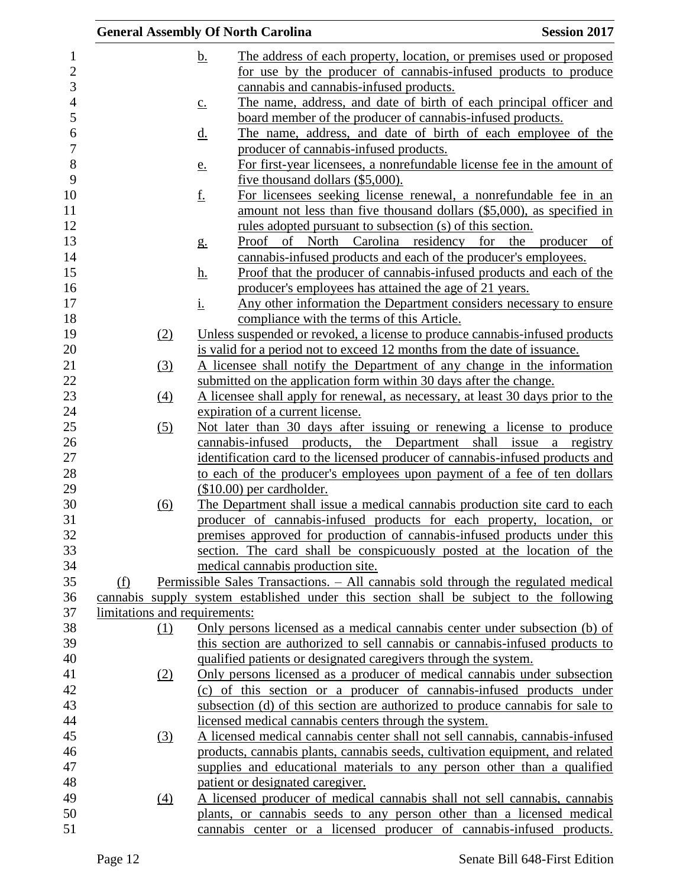|                               | <b>General Assembly Of North Carolina</b>                                                                                                                                    | <b>Session 2017</b> |
|-------------------------------|------------------------------------------------------------------------------------------------------------------------------------------------------------------------------|---------------------|
|                               | <u>b.</u><br>The address of each property, location, or premises used or proposed                                                                                            |                     |
|                               | for use by the producer of cannabis-infused products to produce                                                                                                              |                     |
|                               | cannabis and cannabis-infused products.                                                                                                                                      |                     |
|                               | The name, address, and date of birth of each principal officer and<br>$\underline{c}$ .                                                                                      |                     |
|                               | board member of the producer of cannabis-infused products.                                                                                                                   |                     |
|                               | The name, address, and date of birth of each employee of the<br><u>d.</u>                                                                                                    |                     |
|                               | producer of cannabis-infused products.                                                                                                                                       |                     |
|                               | For first-year licensees, a nonrefundable license fee in the amount of<br><u>e.</u>                                                                                          |                     |
|                               | five thousand dollars (\$5,000).                                                                                                                                             |                     |
|                               | <u>f.</u><br>For licensees seeking license renewal, a nonrefundable fee in an                                                                                                |                     |
|                               | amount not less than five thousand dollars (\$5,000), as specified in                                                                                                        |                     |
|                               | <u>rules</u> adopted pursuant to subsection (s) of this section.                                                                                                             |                     |
|                               | Proof of North Carolina residency for the producer of<br>g <sub>1</sub>                                                                                                      |                     |
|                               | cannabis-infused products and each of the producer's employees.                                                                                                              |                     |
|                               | Proof that the producer of cannabis-infused products and each of the<br><u>h.</u>                                                                                            |                     |
|                               | producer's employees has attained the age of 21 years.                                                                                                                       |                     |
|                               | <u>i.</u><br>Any other information the Department considers necessary to ensure                                                                                              |                     |
|                               | compliance with the terms of this Article.                                                                                                                                   |                     |
| (2)                           | Unless suspended or revoked, a license to produce cannabis-infused products                                                                                                  |                     |
|                               | is valid for a period not to exceed 12 months from the date of issuance.                                                                                                     |                     |
| (3)                           | A licensee shall notify the Department of any change in the information                                                                                                      |                     |
|                               | submitted on the application form within 30 days after the change.                                                                                                           |                     |
| (4)                           | A licensee shall apply for renewal, as necessary, at least 30 days prior to the                                                                                              |                     |
|                               | expiration of a current license.                                                                                                                                             |                     |
| (5)                           | Not later than 30 days after issuing or renewing a license to produce                                                                                                        |                     |
|                               | cannabis-infused products, the Department shall issue a registry                                                                                                             |                     |
|                               | identification card to the licensed producer of cannabis-infused products and                                                                                                |                     |
|                               | to each of the producer's employees upon payment of a fee of ten dollars                                                                                                     |                     |
|                               | $($10.00)$ per cardholder.                                                                                                                                                   |                     |
| (6)                           | The Department shall issue a medical cannabis production site card to each                                                                                                   |                     |
|                               | producer of cannabis-infused products for each property, location, or                                                                                                        |                     |
|                               | premises approved for production of cannabis-infused products under this                                                                                                     |                     |
|                               | section. The card shall be conspicuously posted at the location of the                                                                                                       |                     |
|                               | medical cannabis production site.                                                                                                                                            |                     |
| (f)                           | Permissible Sales Transactions. - All cannabis sold through the regulated medical<br>cannabis supply system established under this section shall be subject to the following |                     |
| limitations and requirements: |                                                                                                                                                                              |                     |
| (1)                           | Only persons licensed as a medical cannabis center under subsection (b) of                                                                                                   |                     |
|                               | this section are authorized to sell cannabis or cannabis-infused products to                                                                                                 |                     |
|                               | qualified patients or designated caregivers through the system.                                                                                                              |                     |
| (2)                           | Only persons licensed as a producer of medical cannabis under subsection                                                                                                     |                     |
|                               | (c) of this section or a producer of cannabis-infused products under                                                                                                         |                     |
|                               | subsection (d) of this section are authorized to produce cannabis for sale to                                                                                                |                     |
|                               | licensed medical cannabis centers through the system.                                                                                                                        |                     |
| (3)                           | A licensed medical cannabis center shall not sell cannabis, cannabis-infused                                                                                                 |                     |
|                               | products, cannabis plants, cannabis seeds, cultivation equipment, and related                                                                                                |                     |
|                               | supplies and educational materials to any person other than a qualified                                                                                                      |                     |
|                               | patient or designated caregiver.                                                                                                                                             |                     |
| $\left(4\right)$              | A licensed producer of medical cannabis shall not sell cannabis, cannabis                                                                                                    |                     |
|                               | plants, or cannabis seeds to any person other than a licensed medical                                                                                                        |                     |
|                               | cannabis center or a licensed producer of cannabis-infused products.                                                                                                         |                     |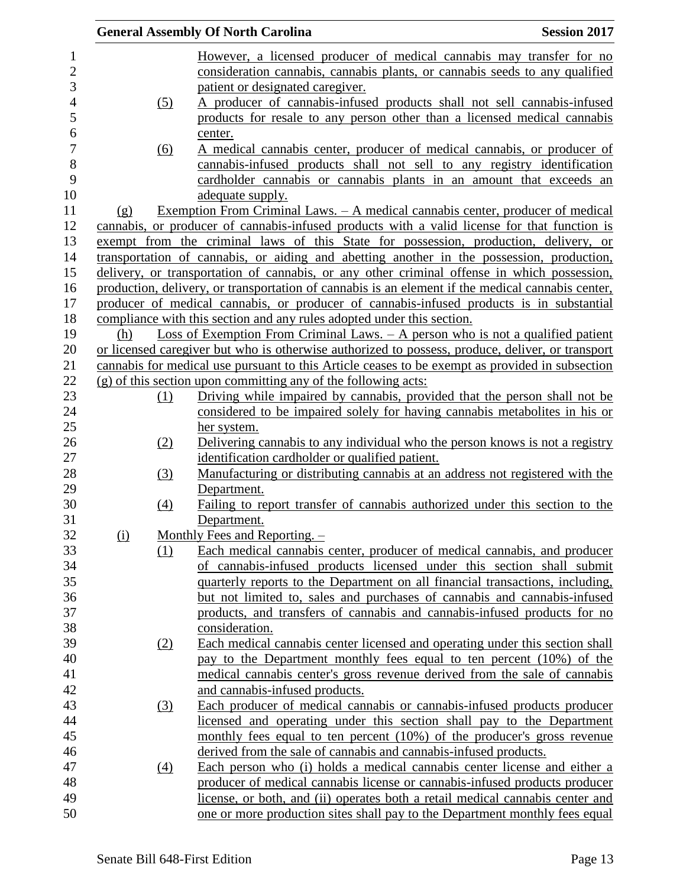|                |     |     | <b>General Assembly Of North Carolina</b>                                                           | <b>Session 2017</b> |
|----------------|-----|-----|-----------------------------------------------------------------------------------------------------|---------------------|
| $\mathbf{1}$   |     |     | However, a licensed producer of medical cannabis may transfer for no                                |                     |
| $\overline{2}$ |     |     | consideration cannabis, cannabis plants, or cannabis seeds to any qualified                         |                     |
| 3              |     |     | patient or designated caregiver.                                                                    |                     |
| $\overline{4}$ |     | (5) | A producer of cannabis-infused products shall not sell cannabis-infused                             |                     |
| 5              |     |     | products for resale to any person other than a licensed medical cannabis                            |                     |
| 6              |     |     | center.                                                                                             |                     |
| 7              |     |     | A medical cannabis center, producer of medical cannabis, or producer of                             |                     |
| 8              |     | (6) | cannabis-infused products shall not sell to any registry identification                             |                     |
| 9              |     |     |                                                                                                     |                     |
| 10             |     |     | cardholder cannabis or cannabis plants in an amount that exceeds an                                 |                     |
|                |     |     | adequate supply.                                                                                    |                     |
| 11             | (g) |     | <u>Exemption From Criminal Laws. – A medical cannabis center, producer of medical</u>               |                     |
| 12             |     |     | cannabis, or producer of cannabis-infused products with a valid license for that function is        |                     |
| 13             |     |     | exempt from the criminal laws of this State for possession, production, delivery, or                |                     |
| 14             |     |     | transportation of cannabis, or aiding and abetting another in the possession, production,           |                     |
| 15             |     |     | delivery, or transportation of cannabis, or any other criminal offense in which possession,         |                     |
| 16             |     |     | production, delivery, or transportation of cannabis is an element if the medical cannabis center,   |                     |
| 17             |     |     | producer of medical cannabis, or producer of cannabis-infused products is in substantial            |                     |
| 18             |     |     | compliance with this section and any rules adopted under this section.                              |                     |
| 19             | (h) |     | <u>Loss of Exemption From Criminal Laws. <math>-</math> A person who is not a qualified patient</u> |                     |
| 20             |     |     | or licensed caregiver but who is otherwise authorized to possess, produce, deliver, or transport    |                     |
| 21             |     |     | cannabis for medical use pursuant to this Article ceases to be exempt as provided in subsection     |                     |
| 22             |     |     | $(g)$ of this section upon committing any of the following acts:                                    |                     |
| 23             |     | (1) | Driving while impaired by cannabis, provided that the person shall not be                           |                     |
| 24             |     |     | considered to be impaired solely for having cannabis metabolities in his or                         |                     |
| 25             |     |     | her system.                                                                                         |                     |
| 26             |     | (2) | Delivering cannabis to any individual who the person knows is not a registry                        |                     |
| 27             |     |     | identification cardholder or qualified patient.                                                     |                     |
| 28             |     | (3) | Manufacturing or distributing cannabis at an address not registered with the                        |                     |
| 29             |     |     | Department.                                                                                         |                     |
| 30             |     | (4) | Failing to report transfer of cannabis authorized under this section to the                         |                     |
| 31             |     |     | Department.                                                                                         |                     |
| 32             | (i) |     | Monthly Fees and Reporting. $-$                                                                     |                     |
| 33             |     | (1) | Each medical cannabis center, producer of medical cannabis, and producer                            |                     |
| 34             |     |     | of cannabis-infused products licensed under this section shall submit                               |                     |
| 35             |     |     | quarterly reports to the Department on all financial transactions, including,                       |                     |
| 36             |     |     | but not limited to, sales and purchases of cannabis and cannabis-infused                            |                     |
| 37             |     |     | products, and transfers of cannabis and cannabis-infused products for no                            |                     |
| 38             |     |     | consideration.                                                                                      |                     |
| 39             |     | (2) | Each medical cannabis center licensed and operating under this section shall                        |                     |
| 40             |     |     | pay to the Department monthly fees equal to ten percent (10%) of the                                |                     |
| 41             |     |     | medical cannabis center's gross revenue derived from the sale of cannabis                           |                     |
| 42             |     |     | and cannabis-infused products.                                                                      |                     |
| 43             |     | (3) | Each producer of medical cannabis or cannabis-infused products producer                             |                     |
| 44             |     |     | licensed and operating under this section shall pay to the Department                               |                     |
| 45             |     |     | monthly fees equal to ten percent (10%) of the producer's gross revenue                             |                     |
| 46             |     |     | derived from the sale of cannabis and cannabis-infused products.                                    |                     |
| 47             |     | (4) | Each person who (i) holds a medical cannabis center license and either a                            |                     |
| 48             |     |     | producer of medical cannabis license or cannabis-infused products producer                          |                     |
| 49             |     |     | license, or both, and (ii) operates both a retail medical cannabis center and                       |                     |
| 50             |     |     | one or more production sites shall pay to the Department monthly fees equal                         |                     |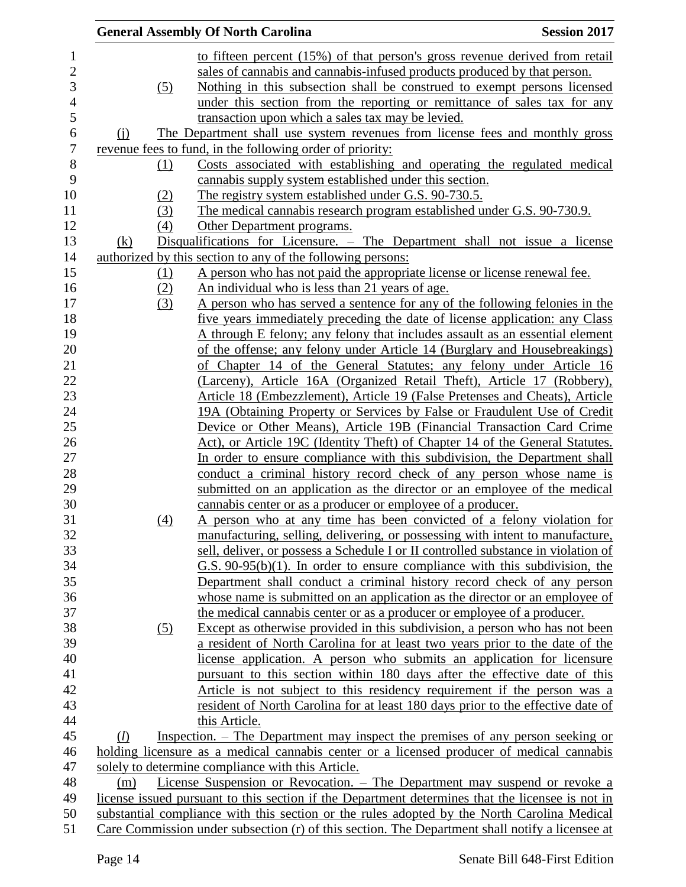| <b>General Assembly Of North Carolina</b> |                                                                                                                                | <b>Session 2017</b> |
|-------------------------------------------|--------------------------------------------------------------------------------------------------------------------------------|---------------------|
|                                           | to fifteen percent (15%) of that person's gross revenue derived from retail                                                    |                     |
|                                           | sales of cannabis and cannabis-infused products produced by that person.                                                       |                     |
| (5)                                       | Nothing in this subsection shall be construed to exempt persons licensed                                                       |                     |
|                                           | under this section from the reporting or remittance of sales tax for any                                                       |                     |
|                                           | transaction upon which a sales tax may be levied.                                                                              |                     |
|                                           | The Department shall use system revenues from license fees and monthly gross                                                   |                     |
| $\Omega$                                  | revenue fees to fund, in the following order of priority:                                                                      |                     |
| (1)                                       | Costs associated with establishing and operating the regulated medical                                                         |                     |
|                                           | cannabis supply system established under this section.                                                                         |                     |
|                                           | The registry system established under G.S. 90-730.5.                                                                           |                     |
| (2)<br>(3)                                | The medical cannabis research program established under G.S. 90-730.9.                                                         |                     |
| (4)                                       |                                                                                                                                |                     |
|                                           | Other Department programs.                                                                                                     |                     |
| (k)                                       | Disqualifications for Licensure. – The Department shall not issue a license                                                    |                     |
|                                           | authorized by this section to any of the following persons:                                                                    |                     |
| <u>(1)</u>                                | A person who has not paid the appropriate license or license renewal fee.                                                      |                     |
| (2)                                       | An individual who is less than 21 years of age.<br>A person who has served a sentence for any of the following felonies in the |                     |
| (3)                                       | five years immediately preceding the date of license application: any Class                                                    |                     |
|                                           | A through E felony; any felony that includes assault as an essential element                                                   |                     |
|                                           | of the offense; any felony under Article 14 (Burglary and Housebreakings)                                                      |                     |
|                                           | of Chapter 14 of the General Statutes; any felony under Article 16                                                             |                     |
|                                           | (Larceny), Article 16A (Organized Retail Theft), Article 17 (Robbery),                                                         |                     |
|                                           | Article 18 (Embezzlement), Article 19 (False Pretenses and Cheats), Article                                                    |                     |
|                                           | 19A (Obtaining Property or Services by False or Fraudulent Use of Credit                                                       |                     |
|                                           | Device or Other Means), Article 19B (Financial Transaction Card Crime                                                          |                     |
|                                           | Act), or Article 19C (Identity Theft) of Chapter 14 of the General Statutes.                                                   |                     |
|                                           | In order to ensure compliance with this subdivision, the Department shall                                                      |                     |
|                                           | conduct a criminal history record check of any person whose name is                                                            |                     |
|                                           | submitted on an application as the director or an employee of the medical                                                      |                     |
|                                           | cannabis center or as a producer or employee of a producer.                                                                    |                     |
| (4)                                       | A person who at any time has been convicted of a felony violation for                                                          |                     |
|                                           | manufacturing, selling, delivering, or possessing with intent to manufacture,                                                  |                     |
|                                           | sell, deliver, or possess a Schedule I or II controlled substance in violation of                                              |                     |
|                                           | $G.S. 90-95(b)(1)$ . In order to ensure compliance with this subdivision, the                                                  |                     |
|                                           | Department shall conduct a criminal history record check of any person                                                         |                     |
|                                           | whose name is submitted on an application as the director or an employee of                                                    |                     |
|                                           | the medical cannabis center or as a producer or employee of a producer.                                                        |                     |
| (5)                                       | Except as otherwise provided in this subdivision, a person who has not been                                                    |                     |
|                                           | a resident of North Carolina for at least two years prior to the date of the                                                   |                     |
|                                           | license application. A person who submits an application for licensure                                                         |                     |
|                                           | pursuant to this section within 180 days after the effective date of this                                                      |                     |
|                                           | Article is not subject to this residency requirement if the person was a                                                       |                     |
|                                           | resident of North Carolina for at least 180 days prior to the effective date of                                                |                     |
|                                           | this Article.                                                                                                                  |                     |
| (l)                                       | Inspection. – The Department may inspect the premises of any person seeking or                                                 |                     |
|                                           | holding licensure as a medical cannabis center or a licensed producer of medical cannabis                                      |                     |
|                                           | solely to determine compliance with this Article.                                                                              |                     |
| (m)                                       | License Suspension or Revocation. – The Department may suspend or revoke a                                                     |                     |
|                                           | license issued pursuant to this section if the Department determines that the licensee is not in                               |                     |
|                                           | substantial compliance with this section or the rules adopted by the North Carolina Medical                                    |                     |
|                                           | Care Commission under subsection (r) of this section. The Department shall notify a licensee at                                |                     |
|                                           |                                                                                                                                |                     |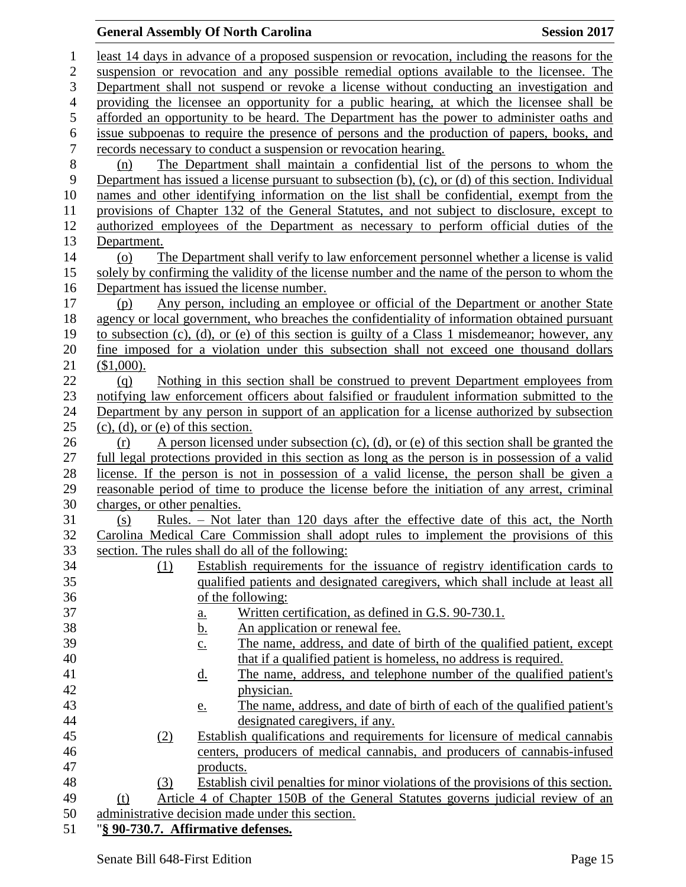## **General Assembly Of North Carolina Session 2017**

| $\mathbf{1}$     | least 14 days in advance of a proposed suspension or revocation, including the reasons for the                                                                       |  |  |  |
|------------------|----------------------------------------------------------------------------------------------------------------------------------------------------------------------|--|--|--|
| $\overline{c}$   | suspension or revocation and any possible remedial options available to the licensee. The                                                                            |  |  |  |
| 3                | Department shall not suspend or revoke a license without conducting an investigation and                                                                             |  |  |  |
| $\overline{4}$   | providing the licensee an opportunity for a public hearing, at which the licensee shall be                                                                           |  |  |  |
| 5                | afforded an opportunity to be heard. The Department has the power to administer oaths and                                                                            |  |  |  |
| 6                | issue subpoenas to require the presence of persons and the production of papers, books, and                                                                          |  |  |  |
| $\boldsymbol{7}$ | records necessary to conduct a suspension or revocation hearing.                                                                                                     |  |  |  |
| 8                | The Department shall maintain a confidential list of the persons to whom the<br>(n)                                                                                  |  |  |  |
| 9                | Department has issued a license pursuant to subsection $(b)$ , $(c)$ , or $(d)$ of this section. Individual                                                          |  |  |  |
| 10               | names and other identifying information on the list shall be confidential, exempt from the                                                                           |  |  |  |
| 11               | provisions of Chapter 132 of the General Statutes, and not subject to disclosure, except to                                                                          |  |  |  |
| 12               | authorized employees of the Department as necessary to perform official duties of the                                                                                |  |  |  |
| 13               | Department.                                                                                                                                                          |  |  |  |
| 14               | The Department shall verify to law enforcement personnel whether a license is valid<br>(0)                                                                           |  |  |  |
| 15               | solely by confirming the validity of the license number and the name of the person to whom the                                                                       |  |  |  |
| 16               | Department has issued the license number.                                                                                                                            |  |  |  |
| 17               | Any person, including an employee or official of the Department or another State<br>(p)                                                                              |  |  |  |
| 18               | agency or local government, who breaches the confidentiality of information obtained pursuant                                                                        |  |  |  |
| 19               | to subsection (c), (d), or (e) of this section is guilty of a Class 1 misdemeanor; however, any                                                                      |  |  |  |
| 20               | fine imposed for a violation under this subsection shall not exceed one thousand dollars                                                                             |  |  |  |
| 21               | (\$1,000).                                                                                                                                                           |  |  |  |
| 22               | Nothing in this section shall be construed to prevent Department employees from<br>(q)                                                                               |  |  |  |
| 23               | notifying law enforcement officers about falsified or fraudulent information submitted to the                                                                        |  |  |  |
| 24               | Department by any person in support of an application for a license authorized by subsection                                                                         |  |  |  |
| 25               | $(c)$ , $(d)$ , or $(e)$ of this section.                                                                                                                            |  |  |  |
| 26               | A person licensed under subsection $(c)$ , $(d)$ , or $(e)$ of this section shall be granted the<br>(r)                                                              |  |  |  |
| 27               | full legal protections provided in this section as long as the person is in possession of a valid                                                                    |  |  |  |
| 28               | license. If the person is not in possession of a valid license, the person shall be given a                                                                          |  |  |  |
| 29               | reasonable period of time to produce the license before the initiation of any arrest, criminal                                                                       |  |  |  |
| 30               | charges, or other penalties.                                                                                                                                         |  |  |  |
| 31               | Rules. – Not later than 120 days after the effective date of this act, the North<br>(s)                                                                              |  |  |  |
| 32               | Carolina Medical Care Commission shall adopt rules to implement the provisions of this                                                                               |  |  |  |
| 33               | section. The rules shall do all of the following:                                                                                                                    |  |  |  |
| 34<br>35         | Establish requirements for the issuance of registry identification cards to<br>(1)<br>qualified patients and designated caregivers, which shall include at least all |  |  |  |
| 36               | of the following:                                                                                                                                                    |  |  |  |
| 37               | Written certification, as defined in G.S. 90-730.1.                                                                                                                  |  |  |  |
| 38               | <u>a.</u><br>An application or renewal fee.                                                                                                                          |  |  |  |
| 39               | <u>b.</u><br>The name, address, and date of birth of the qualified patient, except                                                                                   |  |  |  |
| 40               | $\underline{c}$ .<br>that if a qualified patient is homeless, no address is required.                                                                                |  |  |  |
| 41               | The name, address, and telephone number of the qualified patient's<br><u>d.</u>                                                                                      |  |  |  |
| 42               | physician.                                                                                                                                                           |  |  |  |
| 43               | The name, address, and date of birth of each of the qualified patient's<br><u>e.</u>                                                                                 |  |  |  |
| 44               | designated caregivers, if any.                                                                                                                                       |  |  |  |
| 45               | Establish qualifications and requirements for licensure of medical cannabis<br>(2)                                                                                   |  |  |  |
| 46               | centers, producers of medical cannabis, and producers of cannabis-infused                                                                                            |  |  |  |
| 47               | products.                                                                                                                                                            |  |  |  |
| 48               | Establish civil penalties for minor violations of the provisions of this section.<br>(3)                                                                             |  |  |  |
| 49               | Article 4 of Chapter 150B of the General Statutes governs judicial review of an<br>(t)                                                                               |  |  |  |
| 50               | administrative decision made under this section.                                                                                                                     |  |  |  |
| 51               | "§ 90-730.7. Affirmative defenses.                                                                                                                                   |  |  |  |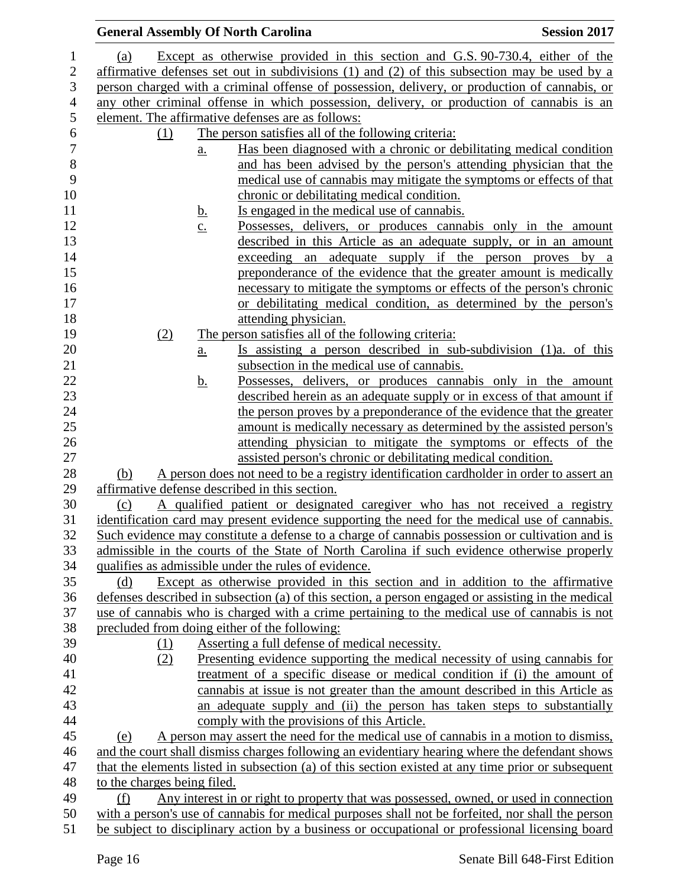|                          |                                                                                               |                   | <b>General Assembly Of North Carolina</b>                                                                                                                                                            | <b>Session 2017</b>                       |
|--------------------------|-----------------------------------------------------------------------------------------------|-------------------|------------------------------------------------------------------------------------------------------------------------------------------------------------------------------------------------------|-------------------------------------------|
| $\mathbf{1}$             | <u>(a)</u>                                                                                    |                   | Except as otherwise provided in this section and G.S. 90-730.4, either of the                                                                                                                        |                                           |
| $\mathbf{2}$             |                                                                                               |                   | affirmative defenses set out in subdivisions $(1)$ and $(2)$ of this subsection may be used by a                                                                                                     |                                           |
| 3                        | person charged with a criminal offense of possession, delivery, or production of cannabis, or |                   |                                                                                                                                                                                                      |                                           |
| $\overline{\mathcal{A}}$ |                                                                                               |                   | any other criminal offense in which possession, delivery, or production of cannabis is an                                                                                                            |                                           |
| 5                        |                                                                                               |                   | element. The affirmative defenses are as follows:                                                                                                                                                    |                                           |
| 6                        | (1)                                                                                           |                   | The person satisfies all of the following criteria:                                                                                                                                                  |                                           |
| $\overline{7}$           |                                                                                               | $\underline{a}$ . | Has been diagnosed with a chronic or debilitating medical condition                                                                                                                                  |                                           |
| $\,8\,$                  |                                                                                               |                   | and has been advised by the person's attending physician that the                                                                                                                                    |                                           |
| 9                        |                                                                                               |                   | medical use of cannabis may mitigate the symptoms or effects of that                                                                                                                                 |                                           |
| 10                       |                                                                                               |                   | chronic or debilitating medical condition.                                                                                                                                                           |                                           |
| 11                       |                                                                                               | <u>b.</u>         | Is engaged in the medical use of cannabis.                                                                                                                                                           |                                           |
| 12                       |                                                                                               | $\underline{c}$ . | Possesses, delivers, or produces cannabis only in the amount                                                                                                                                         |                                           |
| 13                       |                                                                                               |                   | described in this Article as an adequate supply, or in an amount                                                                                                                                     |                                           |
| 14                       |                                                                                               |                   | exceeding an                                                                                                                                                                                         | adequate supply if the person proves by a |
| 15                       |                                                                                               |                   | preponderance of the evidence that the greater amount is medically                                                                                                                                   |                                           |
| 16                       |                                                                                               |                   | necessary to mitigate the symptoms or effects of the person's chronic                                                                                                                                |                                           |
| 17                       |                                                                                               |                   | or debilitating medical condition, as determined by the person's                                                                                                                                     |                                           |
| 18                       |                                                                                               |                   | attending physician.                                                                                                                                                                                 |                                           |
| 19                       | (2)                                                                                           |                   | The person satisfies all of the following criteria:                                                                                                                                                  |                                           |
| 20                       |                                                                                               | a.                | Is assisting a person described in sub-subdivision (1)a. of this                                                                                                                                     |                                           |
| 21                       |                                                                                               |                   | subsection in the medical use of cannabis.                                                                                                                                                           |                                           |
| 22                       |                                                                                               | <u>b.</u>         | Possesses, delivers, or produces cannabis only in the amount                                                                                                                                         |                                           |
| 23                       |                                                                                               |                   | described herein as an adequate supply or in excess of that amount if                                                                                                                                |                                           |
| 24                       |                                                                                               |                   | the person proves by a preponderance of the evidence that the greater                                                                                                                                |                                           |
| 25                       |                                                                                               |                   | amount is medically necessary as determined by the assisted person's                                                                                                                                 |                                           |
| 26                       |                                                                                               |                   | attending physician to mitigate the symptoms or effects of the                                                                                                                                       |                                           |
| 27                       |                                                                                               |                   | assisted person's chronic or debilitating medical condition.                                                                                                                                         |                                           |
| 28                       | (b)                                                                                           |                   | A person does not need to be a registry identification cardholder in order to assert an                                                                                                              |                                           |
| 29<br>30                 | (c)                                                                                           |                   | affirmative defense described in this section.<br>A qualified patient or designated caregiver who has not received a registry                                                                        |                                           |
| 31                       |                                                                                               |                   | identification card may present evidence supporting the need for the medical use of cannabis.                                                                                                        |                                           |
| 32                       |                                                                                               |                   | Such evidence may constitute a defense to a charge of cannabis possession or cultivation and is                                                                                                      |                                           |
| 33                       |                                                                                               |                   | admissible in the courts of the State of North Carolina if such evidence otherwise properly                                                                                                          |                                           |
| 34                       |                                                                                               |                   | qualifies as admissible under the rules of evidence.                                                                                                                                                 |                                           |
| 35                       | (d)                                                                                           |                   | Except as otherwise provided in this section and in addition to the affirmative                                                                                                                      |                                           |
| 36                       |                                                                                               |                   | defenses described in subsection (a) of this section, a person engaged or assisting in the medical                                                                                                   |                                           |
| 37                       |                                                                                               |                   | use of cannabis who is charged with a crime pertaining to the medical use of cannabis is not                                                                                                         |                                           |
| 38                       |                                                                                               |                   | precluded from doing either of the following:                                                                                                                                                        |                                           |
| 39                       | (1)                                                                                           |                   | Asserting a full defense of medical necessity.                                                                                                                                                       |                                           |
| 40                       | (2)                                                                                           |                   | Presenting evidence supporting the medical necessity of using cannabis for                                                                                                                           |                                           |
| 41                       |                                                                                               |                   | treatment of a specific disease or medical condition if (i) the amount of                                                                                                                            |                                           |
| 42                       |                                                                                               |                   | cannabis at issue is not greater than the amount described in this Article as                                                                                                                        |                                           |
| 43                       |                                                                                               |                   | an adequate supply and (ii) the person has taken steps to substantially                                                                                                                              |                                           |
| 44                       |                                                                                               |                   | comply with the provisions of this Article.                                                                                                                                                          |                                           |
| 45                       | (e)                                                                                           |                   | A person may assert the need for the medical use of cannabis in a motion to dismiss,                                                                                                                 |                                           |
| 46                       |                                                                                               |                   | and the court shall dismiss charges following an evidentiary hearing where the defendant shows                                                                                                       |                                           |
| 47                       |                                                                                               |                   | that the elements listed in subsection (a) of this section existed at any time prior or subsequent                                                                                                   |                                           |
| 48                       | to the charges being filed.                                                                   |                   |                                                                                                                                                                                                      |                                           |
| 49                       | (f)                                                                                           |                   | Any interest in or right to property that was possessed, owned, or used in connection                                                                                                                |                                           |
| 50<br>51                 |                                                                                               |                   | with a person's use of cannabis for medical purposes shall not be forfeited, nor shall the person<br>be subject to disciplinary action by a business or occupational or professional licensing board |                                           |
|                          |                                                                                               |                   |                                                                                                                                                                                                      |                                           |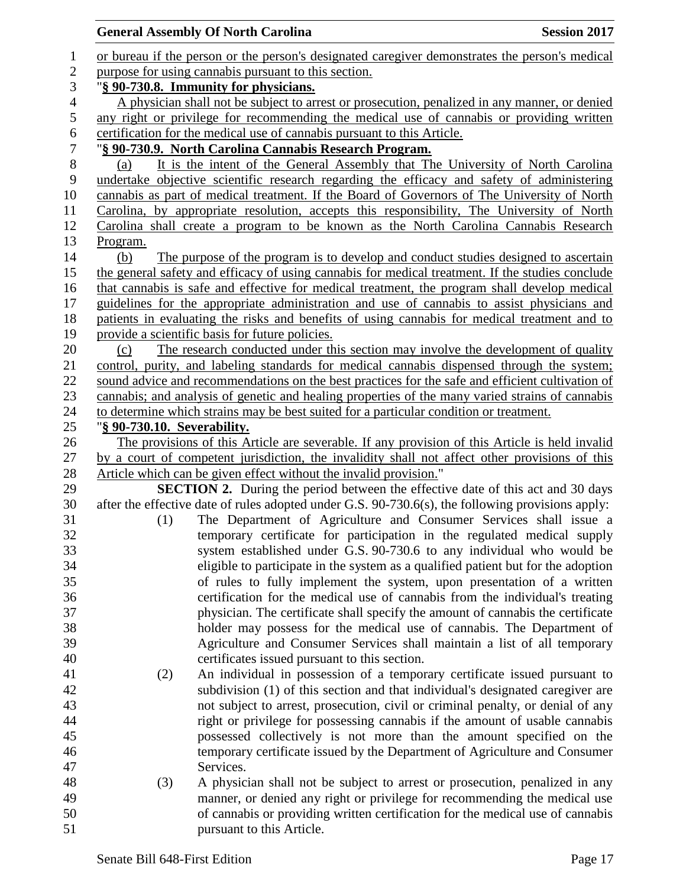|                | <b>General Assembly Of North Carolina</b>            |                                                                                                   | <b>Session 2017</b> |  |  |
|----------------|------------------------------------------------------|---------------------------------------------------------------------------------------------------|---------------------|--|--|
| $\mathbf{1}$   |                                                      | or bureau if the person or the person's designated caregiver demonstrates the person's medical    |                     |  |  |
| $\overline{c}$ | purpose for using cannabis pursuant to this section. |                                                                                                   |                     |  |  |
| 3              | "§ 90-730.8. Immunity for physicians.                |                                                                                                   |                     |  |  |
| $\overline{4}$ |                                                      | A physician shall not be subject to arrest or prosecution, penalized in any manner, or denied     |                     |  |  |
| 5              |                                                      | any right or privilege for recommending the medical use of cannabis or providing written          |                     |  |  |
| 6              |                                                      | certification for the medical use of cannabis pursuant to this Article.                           |                     |  |  |
| 7              |                                                      | "§ 90-730.9. North Carolina Cannabis Research Program.                                            |                     |  |  |
| $8\,$          | (a)                                                  | It is the intent of the General Assembly that The University of North Carolina                    |                     |  |  |
| 9              |                                                      | undertake objective scientific research regarding the efficacy and safety of administering        |                     |  |  |
| 10             |                                                      | cannabis as part of medical treatment. If the Board of Governors of The University of North       |                     |  |  |
| 11             |                                                      | Carolina, by appropriate resolution, accepts this responsibility, The University of North         |                     |  |  |
| 12             |                                                      | Carolina shall create a program to be known as the North Carolina Cannabis Research               |                     |  |  |
| 13             | Program.                                             |                                                                                                   |                     |  |  |
| 14             | (b)                                                  | The purpose of the program is to develop and conduct studies designed to ascertain                |                     |  |  |
| 15             |                                                      | the general safety and efficacy of using cannabis for medical treatment. If the studies conclude  |                     |  |  |
| 16             |                                                      | that cannabis is safe and effective for medical treatment, the program shall develop medical      |                     |  |  |
| 17             |                                                      | guidelines for the appropriate administration and use of cannabis to assist physicians and        |                     |  |  |
| 18             |                                                      | patients in evaluating the risks and benefits of using cannabis for medical treatment and to      |                     |  |  |
| 19             |                                                      | provide a scientific basis for future policies.                                                   |                     |  |  |
| 20             | (c)                                                  | The research conducted under this section may involve the development of quality                  |                     |  |  |
| 21             |                                                      | control, purity, and labeling standards for medical cannabis dispensed through the system;        |                     |  |  |
| 22             |                                                      | sound advice and recommendations on the best practices for the safe and efficient cultivation of  |                     |  |  |
| 23             |                                                      | cannabis; and analysis of genetic and healing properties of the many varied strains of cannabis   |                     |  |  |
| 24             |                                                      | to determine which strains may be best suited for a particular condition or treatment.            |                     |  |  |
| 25             | "§ 90-730.10. Severability.                          |                                                                                                   |                     |  |  |
| 26             |                                                      | The provisions of this Article are severable. If any provision of this Article is held invalid    |                     |  |  |
| 27             |                                                      | by a court of competent jurisdiction, the invalidity shall not affect other provisions of this    |                     |  |  |
| 28             |                                                      | Article which can be given effect without the invalid provision."                                 |                     |  |  |
| 29             |                                                      | <b>SECTION 2.</b> During the period between the effective date of this act and 30 days            |                     |  |  |
| 30             |                                                      | after the effective date of rules adopted under G.S. 90-730.6(s), the following provisions apply: |                     |  |  |
| 31             | (1)                                                  | The Department of Agriculture and Consumer Services shall issue a                                 |                     |  |  |
| 32             |                                                      | temporary certificate for participation in the regulated medical supply                           |                     |  |  |
| 33             |                                                      | system established under G.S. 90-730.6 to any individual who would be                             |                     |  |  |
| 34             |                                                      | eligible to participate in the system as a qualified patient but for the adoption                 |                     |  |  |
| 35             |                                                      | of rules to fully implement the system, upon presentation of a written                            |                     |  |  |
| 36             |                                                      | certification for the medical use of cannabis from the individual's treating                      |                     |  |  |
| 37             |                                                      | physician. The certificate shall specify the amount of cannabis the certificate                   |                     |  |  |
| 38             |                                                      | holder may possess for the medical use of cannabis. The Department of                             |                     |  |  |
| 39             |                                                      | Agriculture and Consumer Services shall maintain a list of all temporary                          |                     |  |  |
| 40             |                                                      | certificates issued pursuant to this section.                                                     |                     |  |  |
| 41             | (2)                                                  | An individual in possession of a temporary certificate issued pursuant to                         |                     |  |  |
| 42             |                                                      | subdivision (1) of this section and that individual's designated caregiver are                    |                     |  |  |
| 43             |                                                      | not subject to arrest, prosecution, civil or criminal penalty, or denial of any                   |                     |  |  |
| 44             |                                                      | right or privilege for possessing cannabis if the amount of usable cannabis                       |                     |  |  |
| 45             |                                                      | possessed collectively is not more than the amount specified on the                               |                     |  |  |
| 46             |                                                      | temporary certificate issued by the Department of Agriculture and Consumer                        |                     |  |  |
| 47             |                                                      | Services.                                                                                         |                     |  |  |
| 48             | (3)                                                  | A physician shall not be subject to arrest or prosecution, penalized in any                       |                     |  |  |
| 49             |                                                      | manner, or denied any right or privilege for recommending the medical use                         |                     |  |  |
| 50             |                                                      | of cannabis or providing written certification for the medical use of cannabis                    |                     |  |  |
| 51             |                                                      | pursuant to this Article.                                                                         |                     |  |  |